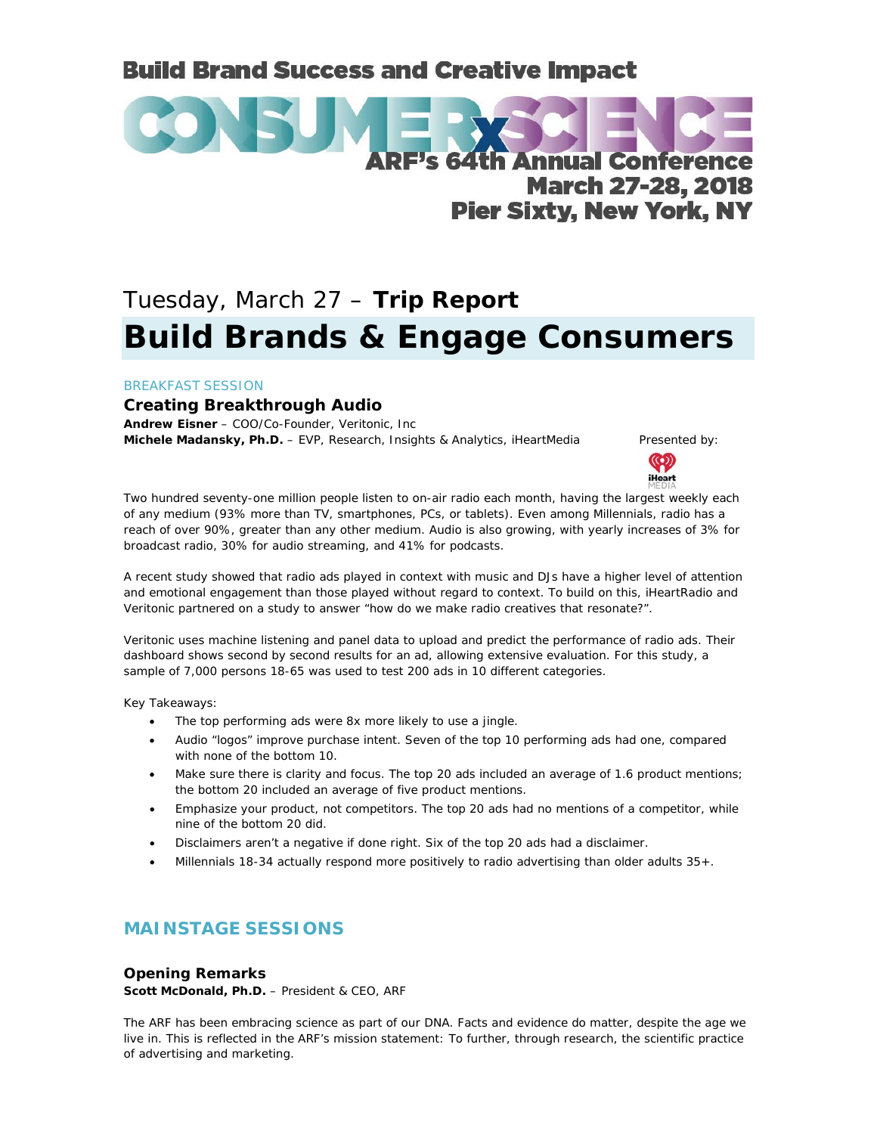# **Build Brand Success and Creative Impact**



# Tuesday, March 27 – **Trip Report Build Brands & Engage Consumers**

#### BREAKFAST SESSION

# **Creating Breakthrough Audio**

**Andrew Eisner** – COO/Co-Founder, Veritonic, Inc **Michele Madansky, Ph.D.** – EVP, Research, Insights & Analytics, iHeartMedia Presented by:



Two hundred seventy-one million people listen to on-air radio each month, having the largest weekly each of any medium (93% more than TV, smartphones, PCs, or tablets). Even among Millennials, radio has a reach of over 90%, greater than any other medium. Audio is also growing, with yearly increases of 3% for broadcast radio, 30% for audio streaming, and 41% for podcasts.

A recent study showed that radio ads played in context with music and DJs have a higher level of attention and emotional engagement than those played without regard to context. To build on this, iHeartRadio and Veritonic partnered on a study to answer "how do we make radio creatives that resonate?".

Veritonic uses machine listening and panel data to upload and predict the performance of radio ads. Their dashboard shows second by second results for an ad, allowing extensive evaluation. For this study, a sample of 7,000 persons 18-65 was used to test 200 ads in 10 different categories.

Key Takeaways:

- The top performing ads were 8x more likely to use a jingle.
- Audio "logos" improve purchase intent. Seven of the top 10 performing ads had one, compared with none of the bottom 10.
- Make sure there is clarity and focus. The top 20 ads included an average of 1.6 product mentions; the bottom 20 included an average of five product mentions.
- Emphasize your product, not competitors. The top 20 ads had no mentions of a competitor, while nine of the bottom 20 did.
- Disclaimers aren't a negative if done right. Six of the top 20 ads had a disclaimer.
- Millennials 18-34 actually respond more positively to radio advertising than older adults 35+.

# **MAINSTAGE SESSIONS**

#### **Opening Remarks**

**Scott McDonald, Ph.D.** – President & CEO, ARF

The ARF has been embracing science as part of our DNA. Facts and evidence do matter, despite the age we live in. This is reflected in the ARF's mission statement: To further, through research, the scientific practice of advertising and marketing.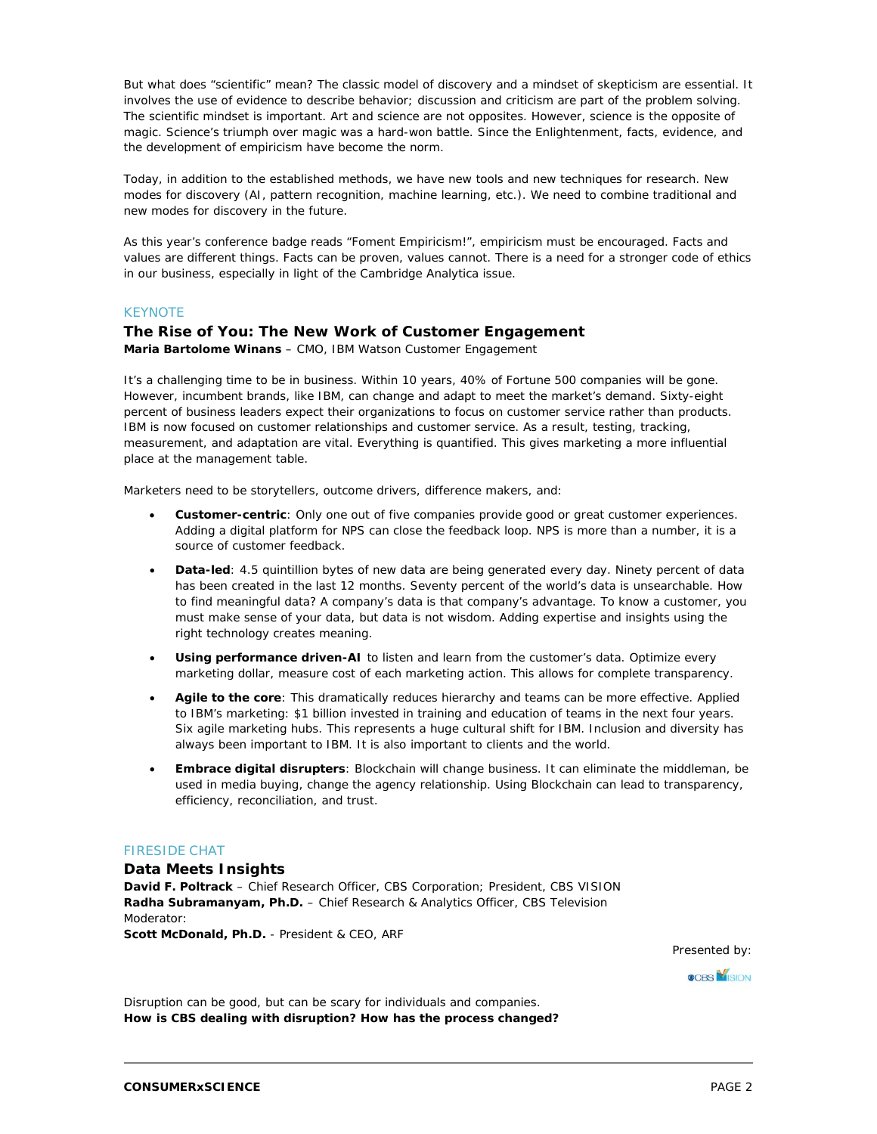But what does "scientific" mean? The classic model of discovery and a mindset of skepticism are essential. It involves the use of evidence to describe behavior; discussion and criticism are part of the problem solving. The scientific mindset is important. Art and science are not opposites. However, science is the opposite of magic. Science's triumph over magic was a hard-won battle. Since the Enlightenment, facts, evidence, and the development of empiricism have become the norm.

Today, in addition to the established methods, we have new tools and new techniques for research. New modes for discovery (AI, pattern recognition, machine learning, etc.). We need to combine traditional and new modes for discovery in the future.

As this year's conference badge reads "Foment Empiricism!", empiricism must be encouraged. Facts and values are different things. Facts can be proven, values cannot. There is a need for a stronger code of ethics in our business, especially in light of the Cambridge Analytica issue.

#### **KEYNOTE**

#### **The Rise of You: The New Work of Customer Engagement**

**Maria Bartolome Winans** – CMO, IBM Watson Customer Engagement

It's a challenging time to be in business. Within 10 years, 40% of Fortune 500 companies will be gone. However, incumbent brands, like IBM, can change and adapt to meet the market's demand. Sixty-eight percent of business leaders expect their organizations to focus on customer service rather than products. IBM is now focused on customer relationships and customer service. As a result, testing, tracking, measurement, and adaptation are vital. Everything is quantified. This gives marketing a more influential place at the management table.

Marketers need to be storytellers, outcome drivers, difference makers, and:

- **Customer-centric**: Only one out of five companies provide good or great customer experiences. Adding a digital platform for NPS can close the feedback loop. NPS is more than a number, it is a source of customer feedback.
- **Data-led**: 4.5 quintillion bytes of new data are being generated every day. Ninety percent of data has been created in the last 12 months. Seventy percent of the world's data is unsearchable. How to find meaningful data? A company's data is that company's advantage. To know a customer, you must make sense of your data, but data is not wisdom. Adding expertise and insights using the right technology creates meaning.
- **Using performance driven-AI** to listen and learn from the customer's data. Optimize every marketing dollar, measure cost of each marketing action. This allows for complete transparency.
- **Agile to the core**: This dramatically reduces hierarchy and teams can be more effective. Applied to IBM's marketing: \$1 billion invested in training and education of teams in the next four years. Six agile marketing hubs. This represents a huge cultural shift for IBM. Inclusion and diversity has always been important to IBM. It is also important to clients and the world.
- **Embrace digital disrupters**: Blockchain will change business. It can eliminate the middleman, be used in media buying, change the agency relationship. Using Blockchain can lead to transparency, efficiency, reconciliation, and trust.

#### FIRESIDE CHAT

#### **Data Meets Insights**

**David F. Poltrack** – Chief Research Officer, CBS Corporation; President, CBS VISION **Radha Subramanyam, Ph.D.** – Chief Research & Analytics Officer, CBS Television Moderator:

**Scott McDonald, Ph.D.** - President & CEO, ARF

Presented by:

**OCBS MISION** 

Disruption can be good, but can be scary for individuals and companies. **How is CBS dealing with disruption? How has the process changed?**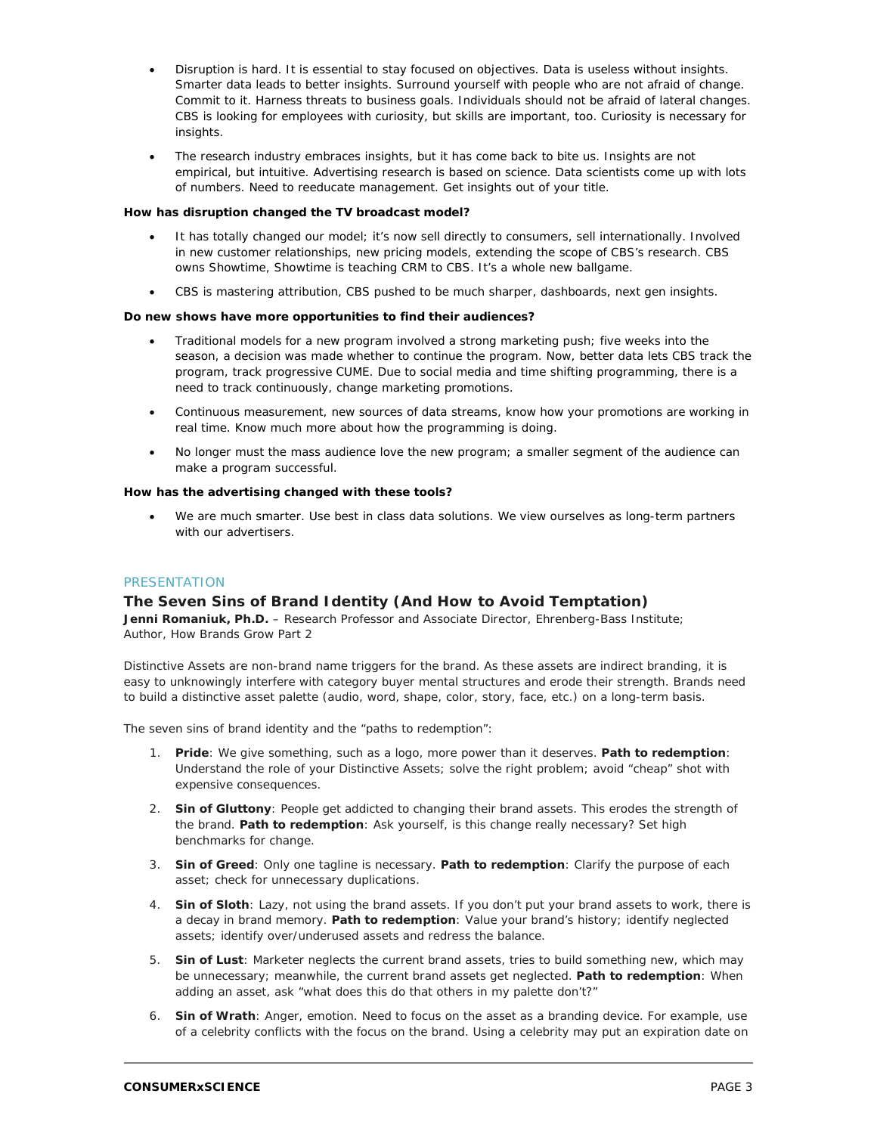- Disruption is hard. It is essential to stay focused on objectives. Data is useless without insights. Smarter data leads to better insights. Surround yourself with people who are not afraid of change. Commit to it. Harness threats to business goals. Individuals should not be afraid of lateral changes. CBS is looking for employees with curiosity, but skills are important, too. Curiosity is necessary for insights.
- The research industry embraces insights, but it has come back to bite us. Insights are not empirical, but intuitive. Advertising research is based on science. Data scientists come up with lots of numbers. Need to reeducate management. Get insights out of your title.

#### **How has disruption changed the TV broadcast model?**

- It has totally changed our model; it's now sell directly to consumers, sell internationally. Involved in new customer relationships, new pricing models, extending the scope of CBS's research. CBS owns Showtime, Showtime is teaching CRM to CBS. It's a whole new ballgame.
- CBS is mastering attribution, CBS pushed to be much sharper, dashboards, next gen insights.

#### **Do new shows have more opportunities to find their audiences?**

- Traditional models for a new program involved a strong marketing push; five weeks into the season, a decision was made whether to continue the program. Now, better data lets CBS track the program, track progressive CUME. Due to social media and time shifting programming, there is a need to track continuously, change marketing promotions.
- Continuous measurement, new sources of data streams, know how your promotions are working in real time. Know much more about how the programming is doing.
- No longer must the mass audience love the new program; a smaller segment of the audience can make a program successful.

#### **How has the advertising changed with these tools?**

• We are much smarter. Use best in class data solutions. We view ourselves as long-term partners with our advertisers.

#### PRESENTATION

#### **The Seven Sins of Brand Identity (And How to Avoid Temptation)**

Jenni Romaniuk, Ph.D. - Research Professor and Associate Director, Ehrenberg-Bass Institute; Author, *How Brands Grow Part 2*

Distinctive Assets are non-brand name triggers for the brand. As these assets are indirect branding, it is easy to unknowingly interfere with category buyer mental structures and erode their strength. Brands need to build a distinctive asset palette (audio, word, shape, color, story, face, etc.) on a long-term basis.

The seven sins of brand identity and the "paths to redemption":

- 1. **Pride**: We give something, such as a logo, more power than it deserves. **Path to redemption**: Understand the role of your Distinctive Assets; solve the right problem; avoid "cheap" shot with expensive consequences.
- 2. **Sin of Gluttony**: People get addicted to changing their brand assets. This erodes the strength of the brand. **Path to redemption**: Ask yourself, is this change really necessary? Set high benchmarks for change.
- 3. **Sin of Greed**: Only one tagline is necessary. **Path to redemption**: Clarify the purpose of each asset; check for unnecessary duplications.
- 4. **Sin of Sloth**: Lazy, not using the brand assets. If you don't put your brand assets to work, there is a decay in brand memory. **Path to redemption**: Value your brand's history; identify neglected assets; identify over/underused assets and redress the balance.
- 5. **Sin of Lust**: Marketer neglects the current brand assets, tries to build something new, which may be unnecessary; meanwhile, the current brand assets get neglected. **Path to redemption**: When adding an asset, ask "what does this do that others in my palette don't?"
- 6. **Sin of Wrath**: Anger, emotion. Need to focus on the asset as a branding device. For example, use of a celebrity conflicts with the focus on the brand. Using a celebrity may put an expiration date on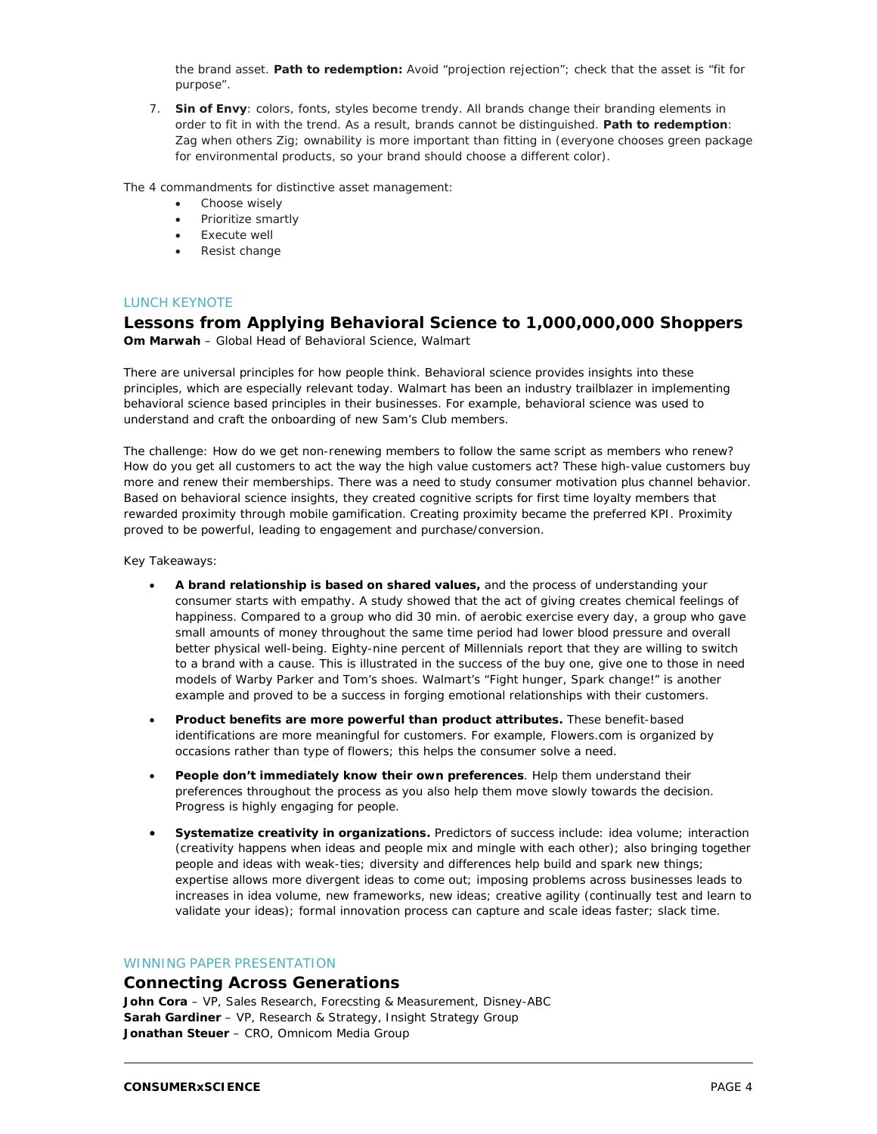the brand asset. **Path to redemption:** Avoid "projection rejection"; check that the asset is "fit for purpose".

7. **Sin of Envy**: colors, fonts, styles become trendy. All brands change their branding elements in order to fit in with the trend. As a result, brands cannot be distinguished. **Path to redemption**: Zag when others Zig; ownability is more important than fitting in (everyone chooses green package for environmental products, so your brand should choose a different color).

The 4 commandments for distinctive asset management:

- Choose wisely
- Prioritize smartly
- Execute well
- Resist change

#### LUNCH KEYNOTE

#### **Lessons from Applying Behavioral Science to 1,000,000,000 Shoppers Om Marwah** – Global Head of Behavioral Science, Walmart

There are universal principles for how people think. Behavioral science provides insights into these principles, which are especially relevant today. Walmart has been an industry trailblazer in implementing behavioral science based principles in their businesses. For example, behavioral science was used to understand and craft the onboarding of new Sam's Club members.

The challenge: How do we get non-renewing members to follow the same script as members who renew? How do you get all customers to act the way the high value customers act? These high-value customers buy more and renew their memberships. There was a need to study consumer motivation plus channel behavior. Based on behavioral science insights, they created cognitive scripts for first time loyalty members that rewarded proximity through mobile gamification. Creating proximity became the preferred KPI. Proximity proved to be powerful, leading to engagement and purchase/conversion.

Key Takeaways:

- **A brand relationship is based on shared values,** and the process of understanding your consumer starts with empathy. A study showed that the act of giving creates chemical feelings of happiness. Compared to a group who did 30 min. of aerobic exercise every day, a group who gave small amounts of money throughout the same time period had lower blood pressure and overall better physical well-being. Eighty-nine percent of Millennials report that they are willing to switch to a brand with a cause. This is illustrated in the success of the buy one, give one to those in need models of Warby Parker and Tom's shoes. Walmart's "Fight hunger, Spark change!" is another example and proved to be a success in forging emotional relationships with their customers.
- **Product benefits are more powerful than product attributes.** These benefit-based identifications are more meaningful for customers. For example, Flowers.com is organized by occasions rather than type of flowers; this helps the consumer solve a need.
- **People don't immediately know their own preferences**. Help them understand their preferences throughout the process as you also help them move slowly towards the decision. Progress is highly engaging for people.
- **Systematize creativity in organizations.** Predictors of success include: idea volume; interaction (creativity happens when ideas and people mix and mingle with each other); also bringing together people and ideas with weak-ties; diversity and differences help build and spark new things; expertise allows more divergent ideas to come out; imposing problems across businesses leads to increases in idea volume, new frameworks, new ideas; creative agility (continually test and learn to validate your ideas); formal innovation process can capture and scale ideas faster; slack time.

### WINNING PAPER PRESENTATION

#### **Connecting Across Generations**

**John Cora** – VP, Sales Research, Forecsting & Measurement, Disney-ABC **Sarah Gardiner** – VP, Research & Strategy, Insight Strategy Group **Jonathan Steuer** – CRO, Omnicom Media Group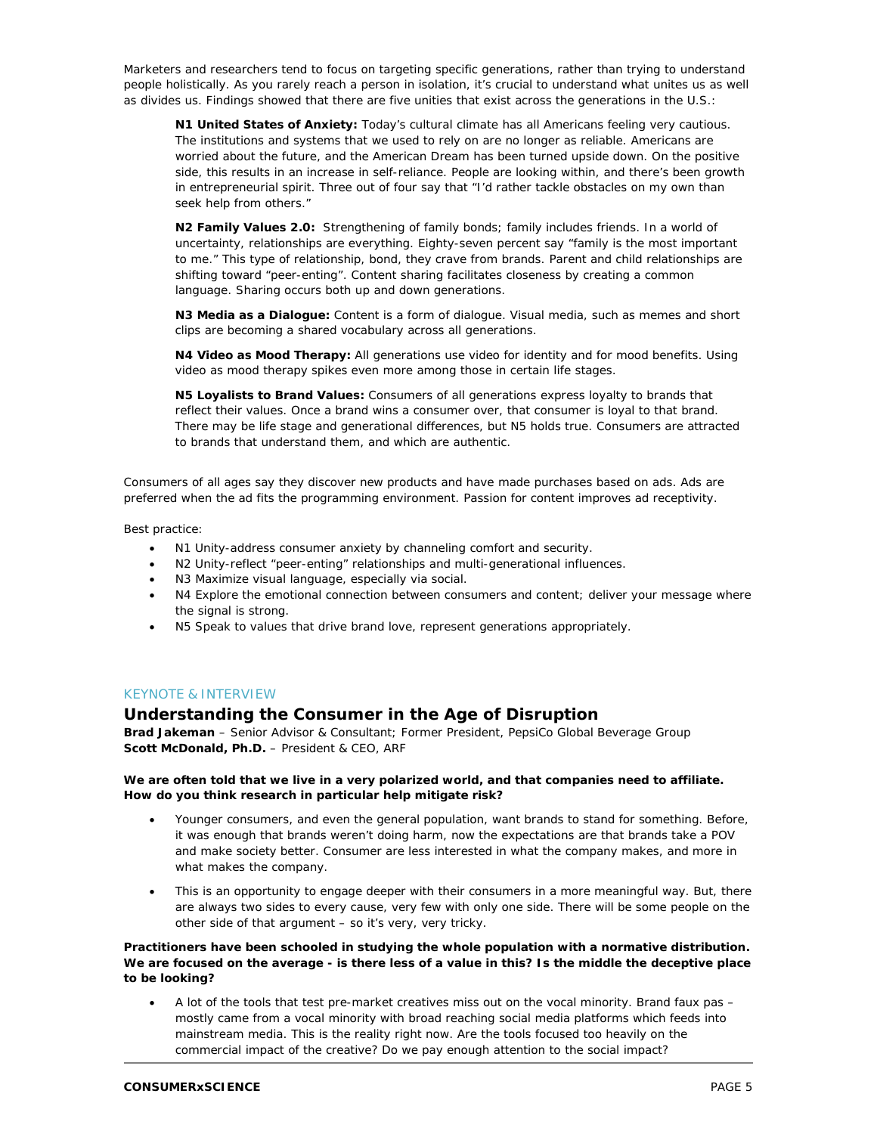Marketers and researchers tend to focus on targeting specific generations, rather than trying to understand people holistically. As you rarely reach a person in isolation, it's crucial to understand what unites us as well as divides us. Findings showed that there are five unities that exist across the generations in the U.S.:

**N1 United States of Anxiety:** Today's cultural climate has all Americans feeling very cautious. The institutions and systems that we used to rely on are no longer as reliable. Americans are worried about the future, and the American Dream has been turned upside down. On the positive side, this results in an increase in self-reliance. People are looking within, and there's been growth in entrepreneurial spirit. Three out of four say that "I'd rather tackle obstacles on my own than seek help from others."

**N2 Family Values 2.0:** Strengthening of family bonds; family includes friends. In a world of uncertainty, relationships are everything. Eighty-seven percent say "family is the most important to me." This type of relationship, bond, they crave from brands. Parent and child relationships are shifting toward "peer-enting". Content sharing facilitates closeness by creating a common language. Sharing occurs both up and down generations.

**N3 Media as a Dialogue:** Content is a form of dialogue. Visual media, such as memes and short clips are becoming a shared vocabulary across all generations.

**N4 Video as Mood Therapy:** All generations use video for identity and for mood benefits. Using video as mood therapy spikes even more among those in certain life stages.

**N5 Loyalists to Brand Values:** Consumers of all generations express loyalty to brands that reflect their values. Once a brand wins a consumer over, that consumer is loyal to that brand. There may be life stage and generational differences, but N5 holds true. Consumers are attracted to brands that understand them, and which are authentic.

Consumers of all ages say they discover new products and have made purchases based on ads. Ads are preferred when the ad fits the programming environment. Passion for content improves ad receptivity.

Best practice:

- N1 Unity-address consumer anxiety by channeling comfort and security.
- N2 Unity-reflect "peer-enting" relationships and multi-generational influences.
- N3 Maximize visual language, especially via social.
- N4 Explore the emotional connection between consumers and content; deliver your message where the signal is strong.
- N5 Speak to values that drive brand love, represent generations appropriately.

#### KEYNOTE & INTERVIEW

#### **Understanding the Consumer in the Age of Disruption**

**Brad Jakeman** – Senior Advisor & Consultant; Former President, PepsiCo Global Beverage Group **Scott McDonald, Ph.D.** – President & CEO, ARF

#### **We are often told that we live in a very polarized world, and that companies need to affiliate. How do you think research in particular help mitigate risk?**

- Younger consumers, and even the general population, want brands to stand for something. Before, it was enough that brands weren't doing harm, now the expectations are that brands take a POV and make society better. Consumer are less interested in what the company makes, and more in what makes the company.
- This is an opportunity to engage deeper with their consumers in a more meaningful way. But, there are always two sides to every cause, very few with only one side. There will be some people on the other side of that argument – so it's very, very tricky.

**Practitioners have been schooled in studying the whole population with a normative distribution. We are focused on the average - is there less of a value in this? Is the middle the deceptive place to be looking?**

• A lot of the tools that test pre-market creatives miss out on the vocal minority. Brand faux pas – mostly came from a vocal minority with broad reaching social media platforms which feeds into mainstream media. This is the reality right now. Are the tools focused too heavily on the commercial impact of the creative? Do we pay enough attention to the social impact?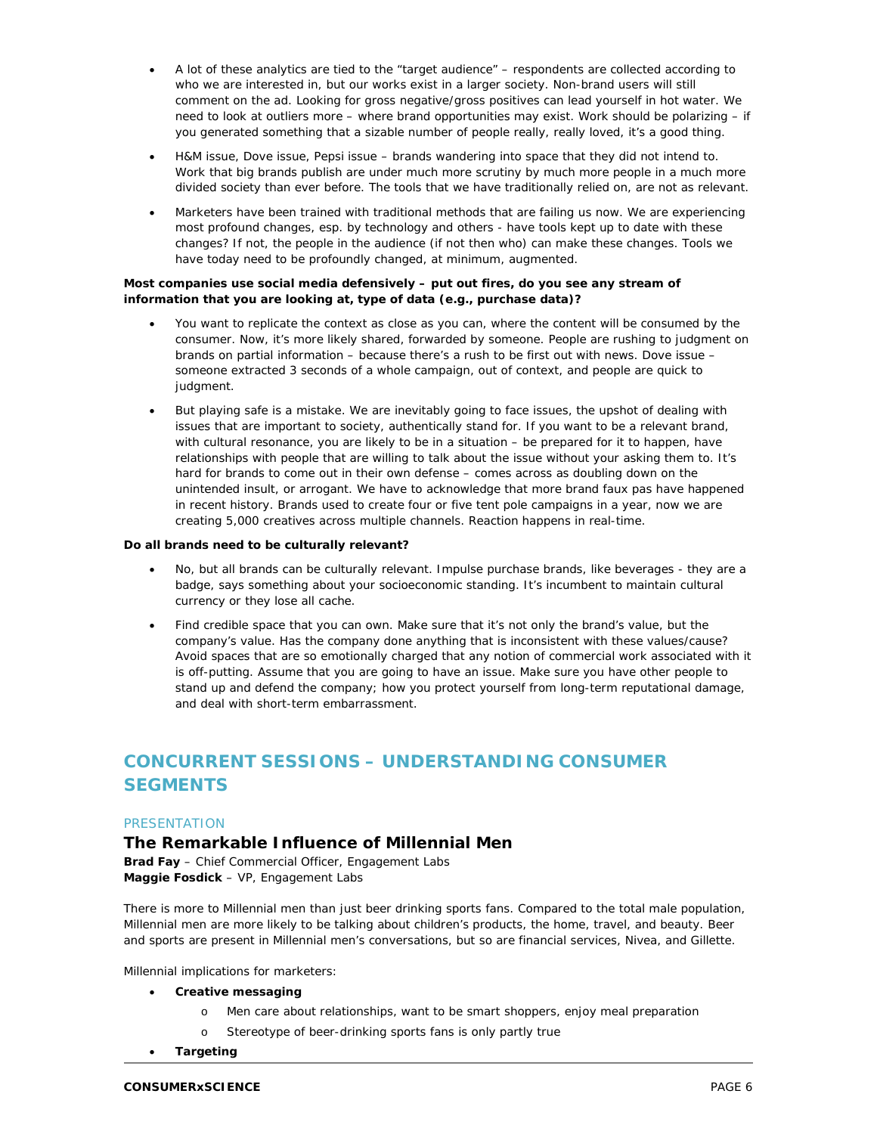- A lot of these analytics are tied to the "target audience" respondents are collected according to who we are interested in, but our works exist in a larger society. Non-brand users will still comment on the ad. Looking for gross negative/gross positives can lead yourself in hot water. We need to look at outliers more – where brand opportunities may exist. Work should be polarizing – if you generated something that a sizable number of people really, really loved, it's a good thing.
- H&M issue, Dove issue, Pepsi issue brands wandering into space that they did not intend to. Work that big brands publish are under much more scrutiny by much more people in a much more divided society than ever before. The tools that we have traditionally relied on, are not as relevant.
- Marketers have been trained with traditional methods that are failing us now. We are experiencing most profound changes, esp. by technology and others - have tools kept up to date with these changes? If not, the people in the audience (if not then who) can make these changes. Tools we have today need to be profoundly changed, at minimum, augmented.

#### **Most companies use social media defensively – put out fires, do you see any stream of information that you are looking at, type of data (e.g., purchase data)?**

- You want to replicate the context as close as you can, where the content will be consumed by the consumer. Now, it's more likely shared, forwarded by someone. People are rushing to judgment on brands on partial information – because there's a rush to be first out with news. Dove issue – someone extracted 3 seconds of a whole campaign, out of context, and people are quick to judgment.
- But playing safe is a mistake. We are inevitably going to face issues, the upshot of dealing with issues that are important to society, authentically stand for. If you want to be a relevant brand, with cultural resonance, you are likely to be in a situation – be prepared for it to happen, have relationships with people that are willing to talk about the issue without your asking them to. It's hard for brands to come out in their own defense – comes across as doubling down on the unintended insult, or arrogant. We have to acknowledge that more brand faux pas have happened in recent history. Brands used to create four or five tent pole campaigns in a year, now we are creating 5,000 creatives across multiple channels. Reaction happens in real-time.

#### **Do all brands need to be culturally relevant?**

- No, but all brands *can* be culturally relevant. Impulse purchase brands, like beverages they are a badge, says something about your socioeconomic standing. It's incumbent to maintain cultural currency or they lose all cache.
- Find credible space that you can own. Make sure that it's not only the brand's value, but the company's value. Has the company done anything that is inconsistent with these values/cause? Avoid spaces that are so emotionally charged that any notion of commercial work associated with it is off-putting. Assume that you are going to have an issue. Make sure you have other people to stand up and defend the company; how you protect yourself from long-term reputational damage, and deal with short-term embarrassment.

# **CONCURRENT SESSIONS – UNDERSTANDING CONSUMER SEGMENTS**

#### **PRESENTATION**

# **The Remarkable Influence of Millennial Men**

**Brad Fay** – Chief Commercial Officer, Engagement Labs **Maggie Fosdick** – VP, Engagement Labs

There is more to Millennial men than just beer drinking sports fans. Compared to the total male population, Millennial men are more likely to be talking about children's products, the home, travel, and beauty. Beer and sports are present in Millennial men's conversations, but so are financial services, Nivea, and Gillette.

Millennial implications for marketers:

- **Creative messaging**
	- o Men care about relationships, want to be smart shoppers, enjoy meal preparation
	- o Stereotype of beer-drinking sports fans is only partly true
- **Targeting**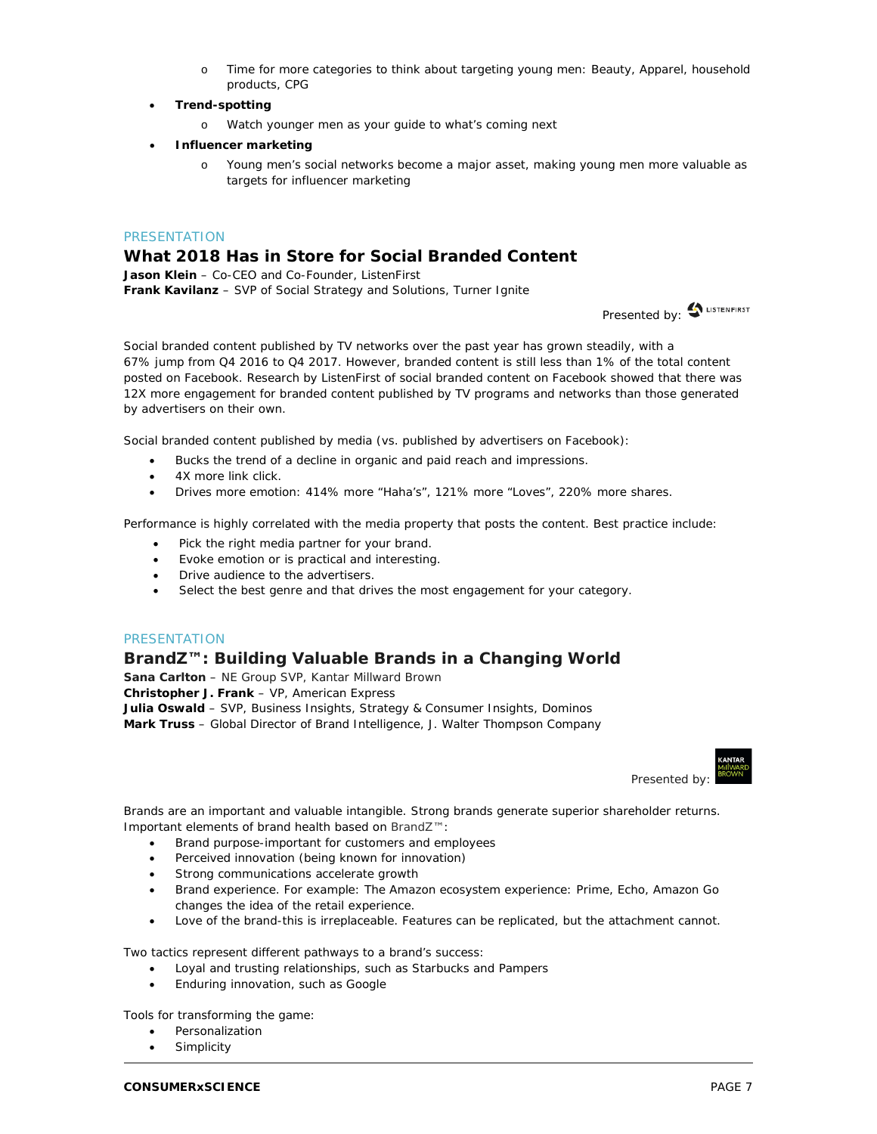- o Time for more categories to think about targeting young men: Beauty, Apparel, household products, CPG
- **Trend-spotting**
	- o Watch younger men as your guide to what's coming next
- **Influencer marketing**
	- o Young men's social networks become a major asset, making young men more valuable as targets for influencer marketing

#### **PRESENTATION**

# **What 2018 Has in Store for Social Branded Content**

**Jason Klein** – Co-CEO and Co-Founder, ListenFirst **Frank Kavilanz** – SVP of Social Strategy and Solutions, Turner Ignite

Presented by: <a>
LISTENFIRST

Social branded content published by TV networks over the past year has grown steadily, with a 67% jump from Q4 2016 to Q4 2017. However, branded content is still less than 1% of the total content posted on Facebook. Research by ListenFirst of social branded content on Facebook showed that there was 12X more engagement for branded content published by TV programs and networks than those generated by advertisers on their own.

Social branded content published by media (vs. published by advertisers on Facebook):

- Bucks the trend of a decline in organic and paid reach and impressions.
- 4X more link click.
- Drives more emotion: 414% more "Haha's", 121% more "Loves", 220% more shares.

Performance is highly correlated with the media property that posts the content. Best practice include:

- Pick the right media partner for your brand.
- Evoke emotion or is practical and interesting.
- Drive audience to the advertisers.
- Select the best genre and that drives the most engagement for your category.

#### **PRESENTATION**

#### **BrandZ™: Building Valuable Brands in a Changing World**

**Sana Carlton** – NE Group SVP, Kantar Millward Brown **Christopher J. Frank** – VP, American Express **Julia Oswald** – SVP, Business Insights, Strategy & Consumer Insights, Dominos **Mark Truss** – Global Director of Brand Intelligence, J. Walter Thompson Company

Presented by:

Brands are an important and valuable intangible. Strong brands generate superior shareholder returns. Important elements of brand health based on BrandZ™:

- Brand purpose-important for customers and employees
- Perceived innovation (being known for innovation)
- Strong communications accelerate growth
- Brand experience. For example: The Amazon ecosystem experience: Prime, Echo, Amazon Go changes the idea of the retail experience.
- Love of the brand-this is irreplaceable. Features can be replicated, but the attachment cannot.

Two tactics represent different pathways to a brand's success:

- Loyal and trusting relationships, such as Starbucks and Pampers
- Enduring innovation, such as Google

Tools for transforming the game:

- Personalization
- **Simplicity**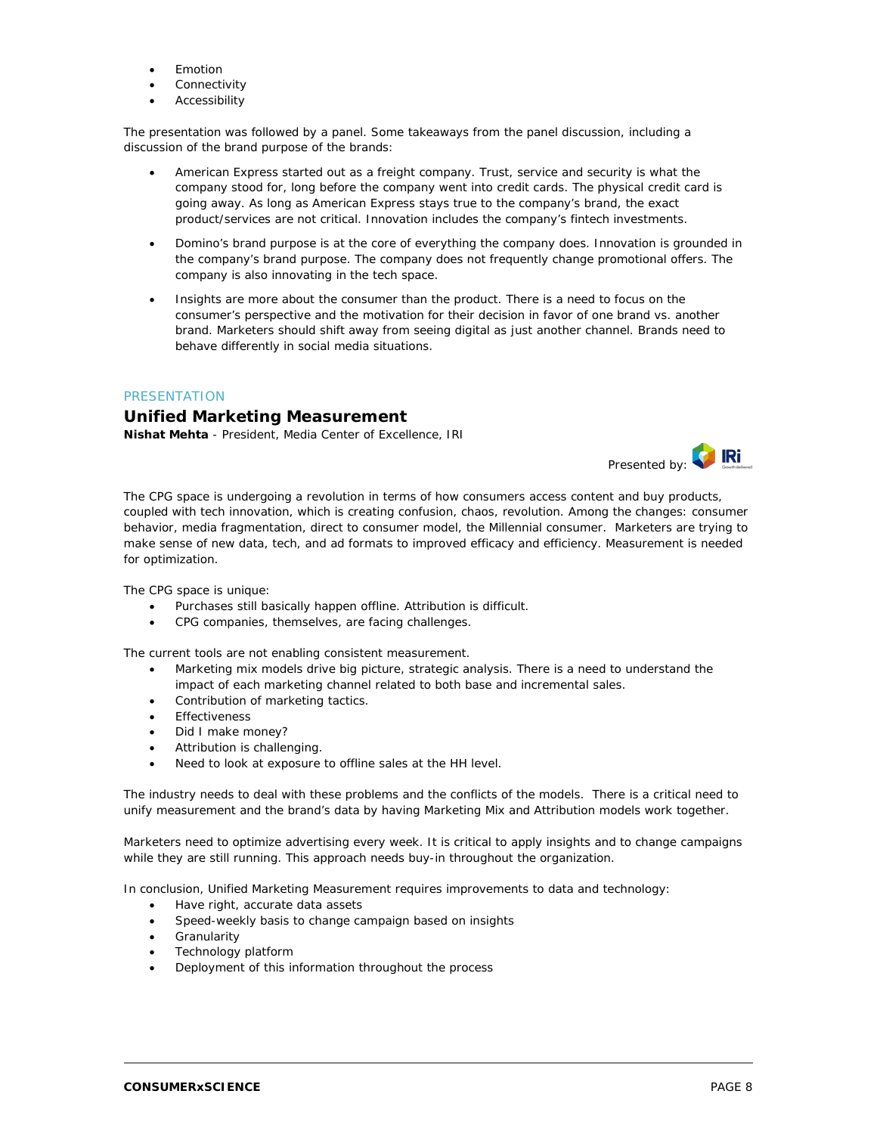- **Emotion**
- **Connectivity**
- **Accessibility**

The presentation was followed by a panel. Some takeaways from the panel discussion, including a discussion of the brand purpose of the brands:

- American Express started out as a freight company. Trust, service and security is what the company stood for, long before the company went into credit cards. The physical credit card is going away. As long as American Express stays true to the company's brand, the exact product/services are not critical. Innovation includes the company's fintech investments.
- Domino's brand purpose is at the core of everything the company does. Innovation is grounded in the company's brand purpose. The company does not frequently change promotional offers. The company is also innovating in the tech space.
- Insights are more about the consumer than the product. There is a need to focus on the consumer's perspective and the motivation for their decision in favor of one brand vs. another brand. Marketers should shift away from seeing digital as just another channel. Brands need to behave differently in social media situations.

#### PRESENTATION

### **Unified Marketing Measurement**

**Nishat Mehta** - President, Media Center of Excellence, IRI



The CPG space is undergoing a revolution in terms of how consumers access content and buy products, coupled with tech innovation, which is creating confusion, chaos, revolution. Among the changes: consumer behavior, media fragmentation, direct to consumer model, the Millennial consumer. Marketers are trying to make sense of new data, tech, and ad formats to improved efficacy and efficiency. Measurement is needed for optimization.

The CPG space is unique:

- Purchases still basically happen offline. Attribution is difficult.
- CPG companies, themselves, are facing challenges.

The current tools are not enabling consistent measurement.

- Marketing mix models drive big picture, strategic analysis. There is a need to understand the impact of each marketing channel related to both base and incremental sales.
- Contribution of marketing tactics.
- **Effectiveness**
- Did I make money?
- Attribution is challenging.
- Need to look at exposure to offline sales at the HH level.

The industry needs to deal with these problems and the conflicts of the models. There is a critical need to unify measurement and the brand's data by having Marketing Mix and Attribution models work together.

Marketers need to optimize advertising every week. It is critical to apply insights and to change campaigns while they are still running. This approach needs buy-in throughout the organization.

In conclusion, Unified Marketing Measurement requires improvements to data and technology:

- Have right, accurate data assets
- Speed-weekly basis to change campaign based on insights
- **Granularity**
- Technology platform
- Deployment of this information throughout the process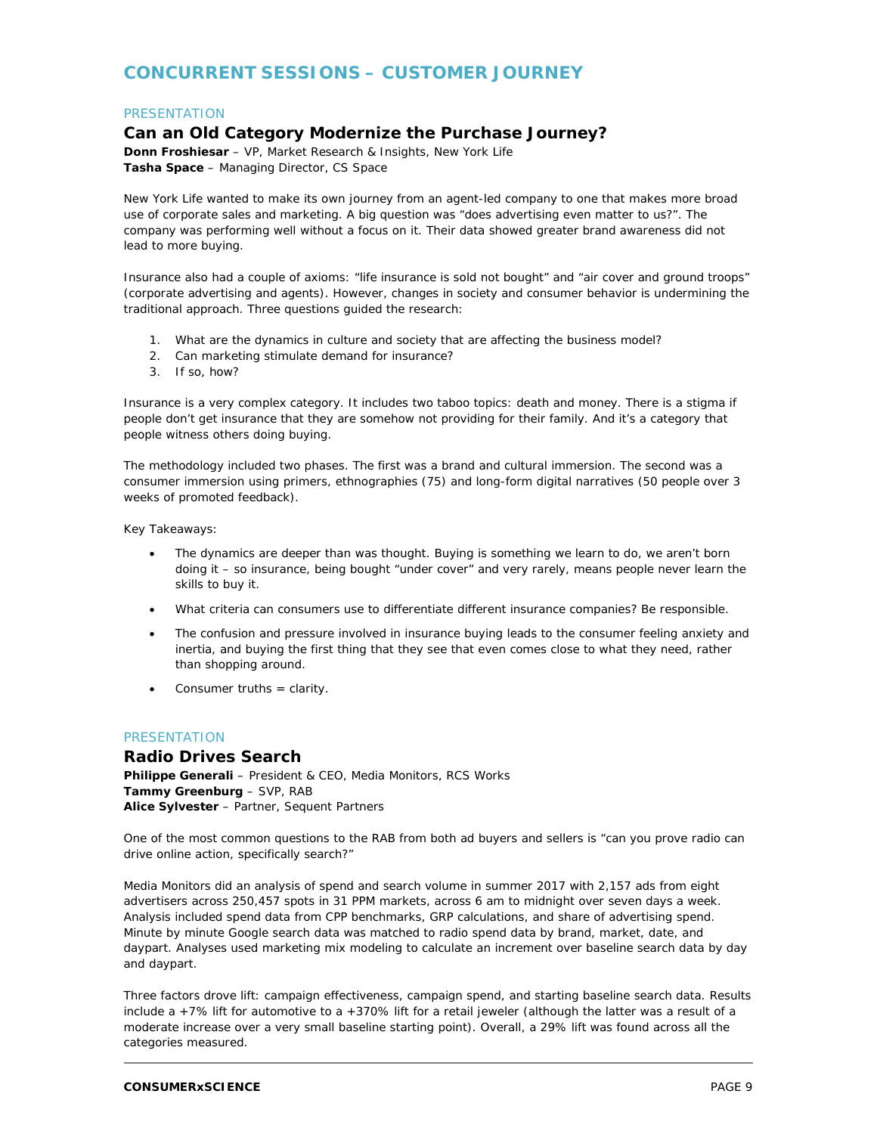# **CONCURRENT SESSIONS – CUSTOMER JOURNEY**

#### **PRESENTATION**

# **Can an Old Category Modernize the Purchase Journey?**

**Donn Froshiesar** – VP, Market Research & Insights, New York Life **Tasha Space** – Managing Director, CS Space

New York Life wanted to make its own journey from an agent-led company to one that makes more broad use of corporate sales and marketing. A big question was "does advertising even matter to us?". The company was performing well without a focus on it. Their data showed greater brand awareness did not lead to more buying.

Insurance also had a couple of axioms: "life insurance is sold not bought" and "air cover and ground troops" (corporate advertising and agents). However, changes in society and consumer behavior is undermining the traditional approach. Three questions guided the research:

- 1. What are the dynamics in culture and society that are affecting the business model?
- 2. Can marketing stimulate demand for insurance?
- 3. If so, how?

Insurance is a very complex category. It includes two taboo topics: death and money. There is a stigma if people don't get insurance that they are somehow not providing for their family. And it's a category that people witness others doing buying.

The methodology included two phases. The first was a brand and cultural immersion. The second was a consumer immersion using primers, ethnographies (75) and long-form digital narratives (50 people over 3 weeks of promoted feedback).

Key Takeaways:

- The dynamics are deeper than was thought. Buying is something we learn to do, we aren't born doing it – so insurance, being bought "under cover" and very rarely, means people never learn the skills to buy it.
- What criteria can consumers use to differentiate different insurance companies? Be responsible.
- The confusion and pressure involved in insurance buying leads to the consumer feeling anxiety and inertia, and buying the first thing that they see that even comes close to what they need, rather than shopping around.
- Consumer truths = clarity.

#### **PRESENTATION**

**Radio Drives Search Philippe Generali** – President & CEO, Media Monitors, RCS Works **Tammy Greenburg** – SVP, RAB **Alice Sylvester** – Partner, Sequent Partners

One of the most common questions to the RAB from both ad buyers and sellers is "can you prove radio can drive online action, specifically search?"

Media Monitors did an analysis of spend and search volume in summer 2017 with 2,157 ads from eight advertisers across 250,457 spots in 31 PPM markets, across 6 am to midnight over seven days a week. Analysis included spend data from CPP benchmarks, GRP calculations, and share of advertising spend. Minute by minute Google search data was matched to radio spend data by brand, market, date, and daypart. Analyses used marketing mix modeling to calculate an increment over baseline search data by day and daypart.

Three factors drove lift: campaign effectiveness, campaign spend, and starting baseline search data. Results include a +7% lift for automotive to a +370% lift for a retail jeweler (although the latter was a result of a moderate increase over a very small baseline starting point). Overall, a 29% lift was found across all the categories measured.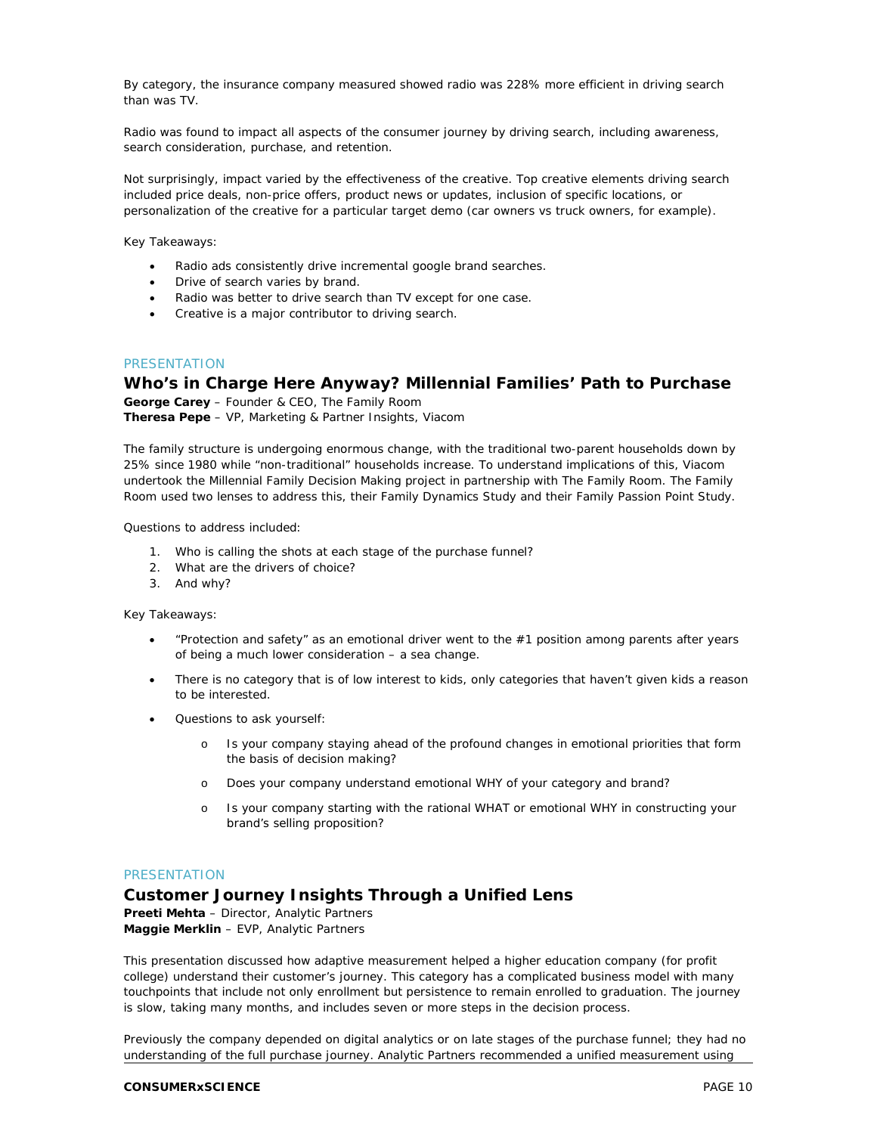By category, the insurance company measured showed radio was 228% more efficient in driving search than was TV.

Radio was found to impact all aspects of the consumer journey by driving search, including awareness, search consideration, purchase, and retention.

Not surprisingly, impact varied by the effectiveness of the creative. Top creative elements driving search included price deals, non-price offers, product news or updates, inclusion of specific locations, or personalization of the creative for a particular target demo (car owners vs truck owners, for example).

Key Takeaways:

- Radio ads consistently drive incremental google brand searches.
- Drive of search varies by brand.
- Radio was better to drive search than TV except for one case.
- Creative is a major contributor to driving search.

#### **PRESENTATION**

#### **Who's in Charge Here Anyway? Millennial Families' Path to Purchase**

**George Carey** – Founder & CEO, The Family Room **Theresa Pepe** – VP, Marketing & Partner Insights, Viacom

The family structure is undergoing enormous change, with the traditional two-parent households down by 25% since 1980 while "non-traditional" households increase. To understand implications of this, Viacom undertook the Millennial Family Decision Making project in partnership with The Family Room. The Family Room used two lenses to address this, their Family Dynamics Study and their Family Passion Point Study.

Questions to address included:

- 1. Who is calling the shots at each stage of the purchase funnel?
- 2. What are the drivers of choice?
- 3. And why?

Key Takeaways:

- "Protection and safety" as an emotional driver went to the #1 position among parents after years of being a much lower consideration – a sea change.
- There is no category that is of low interest to kids, only categories that haven't given kids a reason to be interested.
- Questions to ask yourself:
	- o Is your company staying ahead of the profound changes in emotional priorities that form the basis of decision making?
	- o Does your company understand emotional WHY of your category and brand?
	- o Is your company starting with the rational WHAT or emotional WHY in constructing your brand's selling proposition?

#### PRESENTATION

# **Customer Journey Insights Through a Unified Lens**

**Preeti Mehta** – Director, Analytic Partners **Maggie Merklin** – EVP, Analytic Partners

This presentation discussed how adaptive measurement helped a higher education company (for profit college) understand their customer's journey. This category has a complicated business model with many touchpoints that include not only enrollment but persistence to remain enrolled to graduation. The journey is slow, taking many months, and includes seven or more steps in the decision process.

Previously the company depended on digital analytics or on late stages of the purchase funnel; they had no understanding of the full purchase journey. Analytic Partners recommended a unified measurement using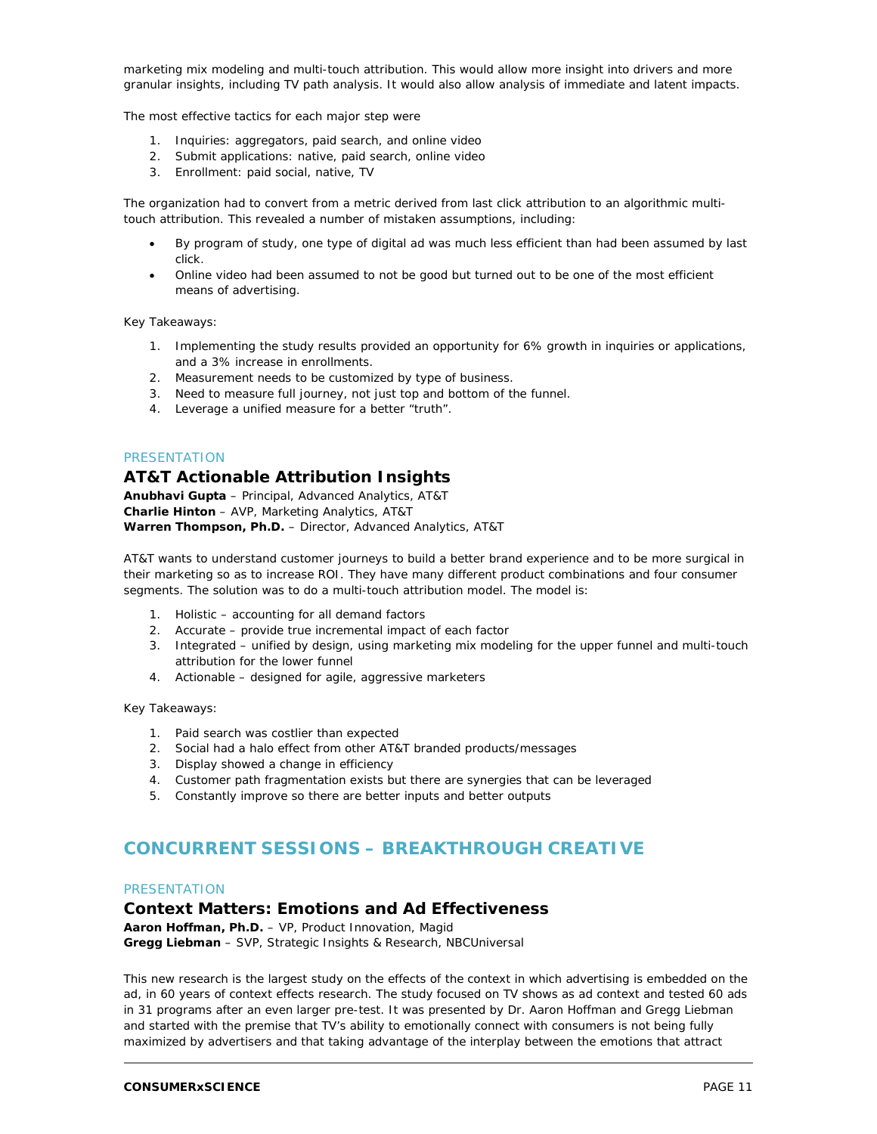marketing mix modeling and multi-touch attribution. This would allow more insight into drivers and more granular insights, including TV path analysis. It would also allow analysis of immediate and latent impacts.

The most effective tactics for each major step were

- 1. Inquiries: aggregators, paid search, and online video
- 2. Submit applications: native, paid search, online video
- 3. Enrollment: paid social, native, TV

The organization had to convert from a metric derived from last click attribution to an algorithmic multitouch attribution. This revealed a number of mistaken assumptions, including:

- By program of study, one type of digital ad was much less efficient than had been assumed by last click.
- Online video had been assumed to not be good but turned out to be one of the most efficient means of advertising.

Key Takeaways:

- 1. Implementing the study results provided an opportunity for 6% growth in inquiries or applications, and a 3% increase in enrollments.
- 2. Measurement needs to be customized by type of business.
- 3. Need to measure full journey, not just top and bottom of the funnel.
- 4. Leverage a unified measure for a better "truth".

#### **PRESENTATION**

#### **AT&T Actionable Attribution Insights**

**Anubhavi Gupta** – Principal, Advanced Analytics, AT&T **Charlie Hinton** – AVP, Marketing Analytics, AT&T **Warren Thompson, Ph.D.** – Director, Advanced Analytics, AT&T

AT&T wants to understand customer journeys to build a better brand experience and to be more surgical in their marketing so as to increase ROI. They have many different product combinations and four consumer segments. The solution was to do a multi-touch attribution model. The model is:

- 1. Holistic accounting for all demand factors
- 2. Accurate provide true incremental impact of each factor
- 3. Integrated unified by design, using marketing mix modeling for the upper funnel and multi-touch attribution for the lower funnel
- 4. Actionable designed for agile, aggressive marketers

Key Takeaways:

- 1. Paid search was costlier than expected
- 2. Social had a halo effect from other AT&T branded products/messages
- 3. Display showed a change in efficiency
- 4. Customer path fragmentation exists but there are synergies that can be leveraged
- 5. Constantly improve so there are better inputs and better outputs

# **CONCURRENT SESSIONS – BREAKTHROUGH CREATIVE**

#### **PRESENTATION**

#### **Context Matters: Emotions and Ad Effectiveness**

**Aaron Hoffman, Ph.D.** – VP, Product Innovation, Magid **Gregg Liebman** – SVP, Strategic Insights & Research, NBCUniversal

This new research is the largest study on the effects of the context in which advertising is embedded on the ad, in 60 years of context effects research. The study focused on TV shows as ad context and tested 60 ads in 31 programs after an even larger pre-test. It was presented by Dr. Aaron Hoffman and Gregg Liebman and started with the premise that TV's ability to emotionally connect with consumers is not being fully maximized by advertisers and that taking advantage of the interplay between the emotions that attract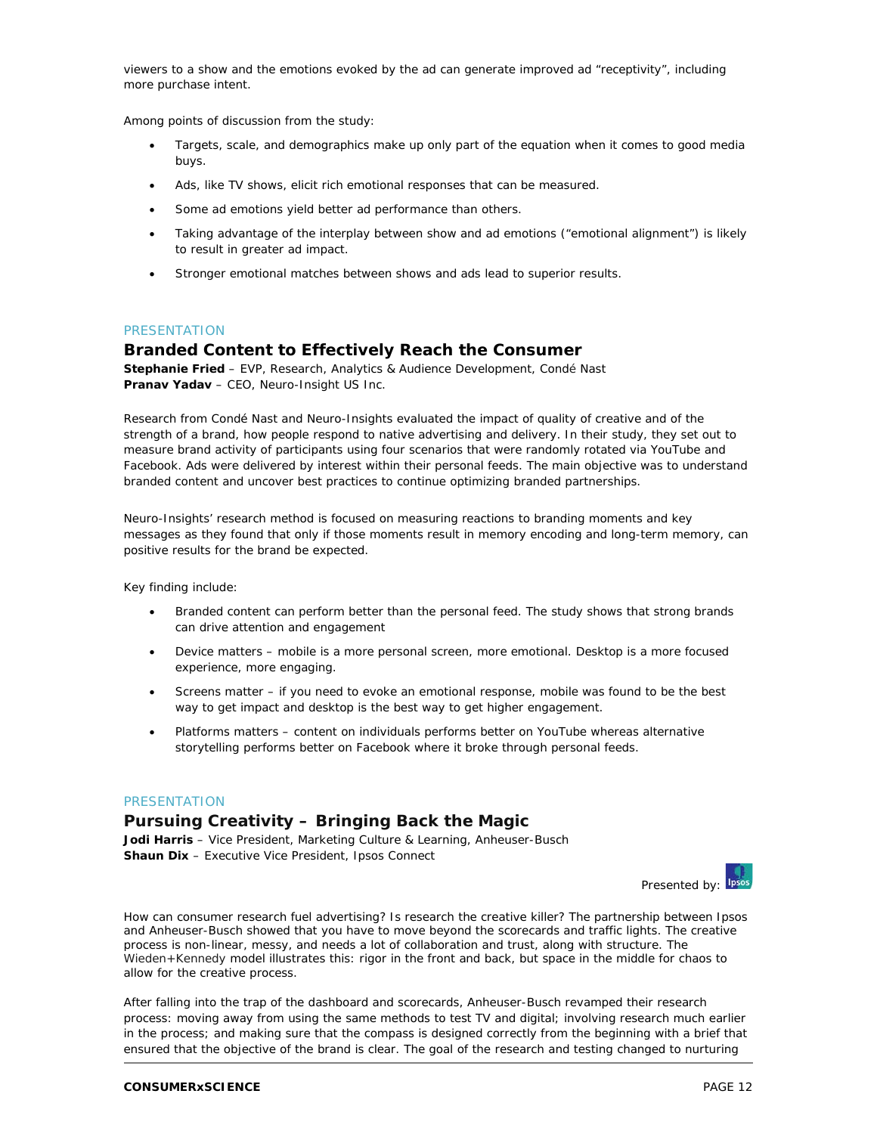viewers to a show and the emotions evoked by the ad can generate improved ad "receptivity", including more purchase intent.

Among points of discussion from the study:

- Targets, scale, and demographics make up only part of the equation when it comes to good media buys.
- Ads, like TV shows, elicit rich emotional responses that can be measured.
- Some ad emotions yield better ad performance than others.
- Taking advantage of the interplay between show and ad emotions ("emotional alignment") is likely to result in greater ad impact.
- Stronger emotional matches between shows and ads lead to superior results.

#### **PRESENTATION**

# **Branded Content to Effectively Reach the Consumer**

**Stephanie Fried** – EVP, Research, Analytics & Audience Development, Condé Nast **Pranav Yadav** – CEO, Neuro-Insight US Inc.

Research from Condé Nast and Neuro-Insights evaluated the impact of quality of creative and of the strength of a brand, how people respond to native advertising and delivery. In their study, they set out to measure brand activity of participants using four scenarios that were randomly rotated via YouTube and Facebook. Ads were delivered by interest within their personal feeds. The main objective was to understand branded content and uncover best practices to continue optimizing branded partnerships.

Neuro-Insights' research method is focused on measuring reactions to branding moments and key messages as they found that only if those moments result in memory encoding and long-term memory, can positive results for the brand be expected.

Key finding include:

- Branded content can perform better than the personal feed. The study shows that strong brands can drive attention and engagement
- Device matters mobile is a more personal screen, more emotional. Desktop is a more focused experience, more engaging.
- Screens matter if you need to evoke an emotional response, mobile was found to be the best way to get impact and desktop is the best way to get higher engagement.
- Platforms matters content on individuals performs better on YouTube whereas alternative storytelling performs better on Facebook where it broke through personal feeds.

#### **PRESENTATION**

# **Pursuing Creativity – Bringing Back the Magic**

**Jodi Harris** – Vice President, Marketing Culture & Learning, Anheuser-Busch **Shaun Dix** – Executive Vice President, Ipsos Connect



How can consumer research fuel advertising? Is research the creative killer? The partnership between Ipsos and Anheuser-Busch showed that you have to move beyond the scorecards and traffic lights. The creative process is non-linear, messy, and needs a lot of collaboration and trust, along with structure. The Wieden+Kennedy model illustrates this: rigor in the front and back, but space in the middle for chaos to allow for the creative process.

After falling into the trap of the dashboard and scorecards, Anheuser-Busch revamped their research process: moving away from using the same methods to test TV and digital; involving research much earlier in the process; and making sure that the compass is designed correctly from the beginning with a brief that ensured that the objective of the brand is clear. The goal of the research and testing changed to nurturing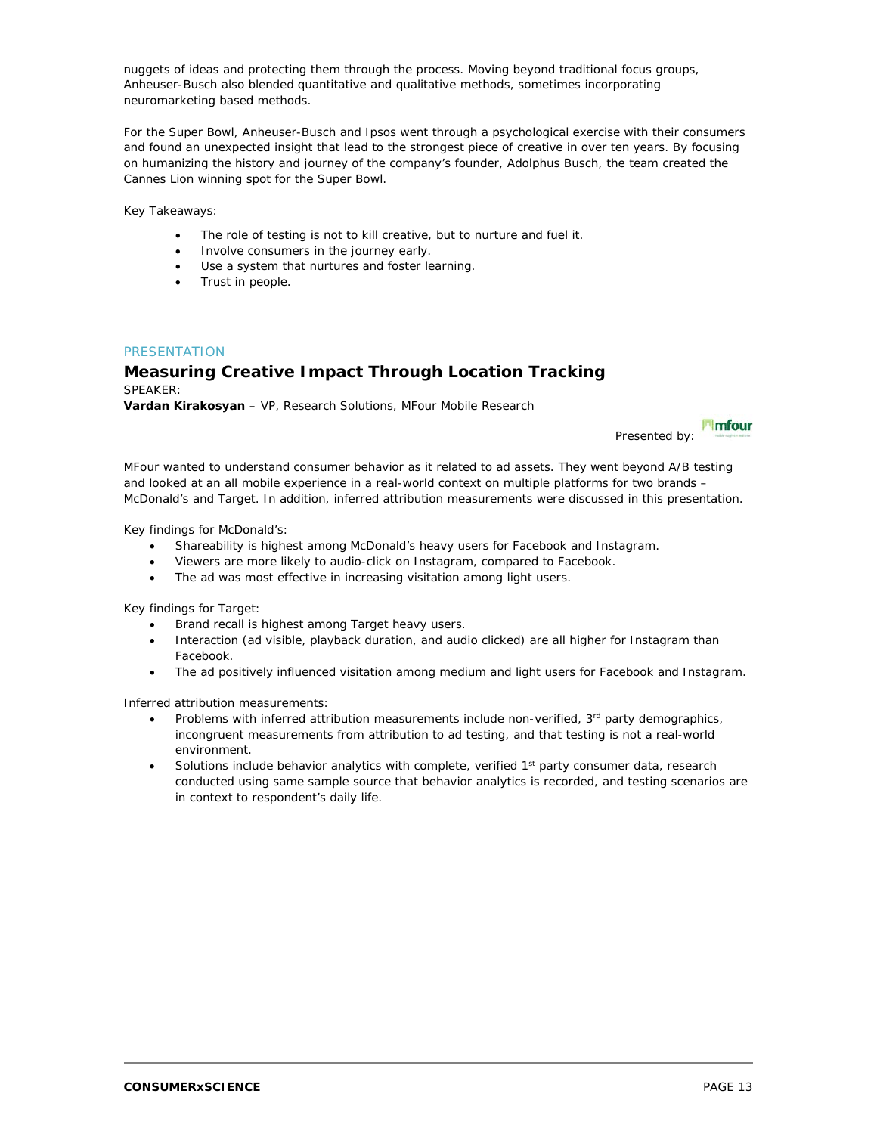nuggets of ideas and protecting them through the process. Moving beyond traditional focus groups, Anheuser-Busch also blended quantitative and qualitative methods, sometimes incorporating neuromarketing based methods.

For the Super Bowl, Anheuser-Busch and Ipsos went through a psychological exercise with their consumers and found an unexpected insight that lead to the strongest piece of creative in over ten years. By focusing on humanizing the history and journey of the company's founder, Adolphus Busch, the team created the Cannes Lion winning spot for the Super Bowl.

Key Takeaways:

- The role of testing is not to kill creative, but to nurture and fuel it.
- Involve consumers in the journey early.
- Use a system that nurtures and foster learning.
- Trust in people.

#### **PRESENTATION**

#### **Measuring Creative Impact Through Location Tracking** SPEAKER:

**Vardan Kirakosyan** – VP, Research Solutions, MFour Mobile Research

**Imfour** Presented by:

MFour wanted to understand consumer behavior as it related to ad assets. They went beyond A/B testing and looked at an all mobile experience in a real-world context on multiple platforms for two brands – McDonald's and Target. In addition, inferred attribution measurements were discussed in this presentation.

Key findings for McDonald's:

- Shareability is highest among McDonald's heavy users for Facebook and Instagram.
- Viewers are more likely to audio-click on Instagram, compared to Facebook.
- The ad was most effective in increasing visitation among light users.

Key findings for Target:

- Brand recall is highest among Target heavy users.
- Interaction (ad visible, playback duration, and audio clicked) are all higher for Instagram than Facebook.
- The ad positively influenced visitation among medium and light users for Facebook and Instagram.

Inferred attribution measurements:

- Problems with inferred attribution measurements include non-verified,  $3<sup>rd</sup>$  party demographics, incongruent measurements from attribution to ad testing, and that testing is not a real-world environment.
- Solutions include behavior analytics with complete, verified 1<sup>st</sup> party consumer data, research conducted using same sample source that behavior analytics is recorded, and testing scenarios are in context to respondent's daily life.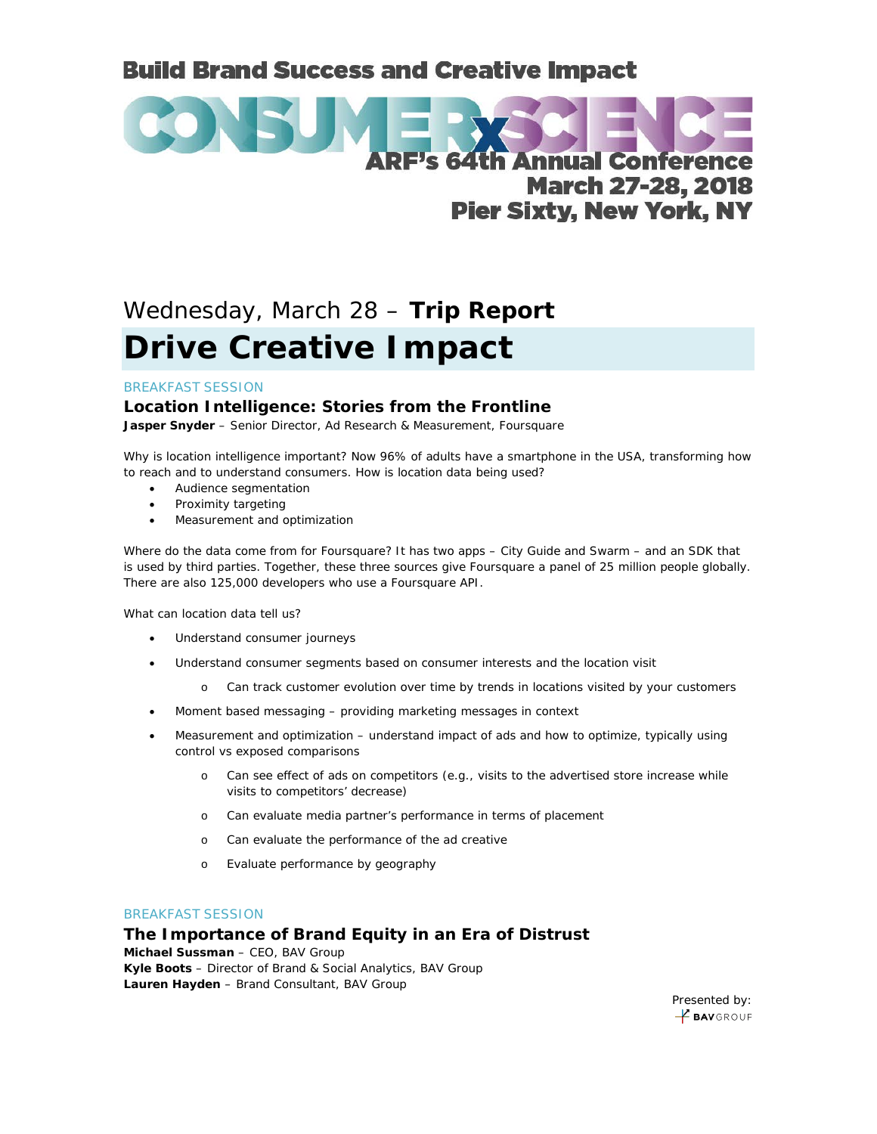# **Build Brand Success and Creative Impact**



# Wednesday, March 28 – **Trip Report Drive Creative Impact**

#### BREAKFAST SESSION

# **Location Intelligence: Stories from the Frontline**

**Jasper Snyder** – Senior Director, Ad Research & Measurement, Foursquare

Why is location intelligence important? Now 96% of adults have a smartphone in the USA, transforming how to reach and to understand consumers. How is location data being used?

- Audience segmentation
- Proximity targeting
- Measurement and optimization

Where do the data come from for Foursquare? It has two apps – City Guide and Swarm – and an SDK that is used by third parties. Together, these three sources give Foursquare a panel of 25 million people globally. There are also 125,000 developers who use a Foursquare API.

What can location data tell us?

- Understand consumer journeys
- Understand consumer segments based on consumer interests and the location visit
	- o Can track customer evolution over time by trends in locations visited by your customers
- Moment based messaging providing marketing messages in context
- Measurement and optimization understand impact of ads and how to optimize, typically using control vs exposed comparisons
	- o Can see effect of ads on competitors (e.g., visits to the advertised store increase while visits to competitors' decrease)
	- o Can evaluate media partner's performance in terms of placement
	- o Can evaluate the performance of the ad creative
	- o Evaluate performance by geography

#### BREAKFAST SESSION

# **The Importance of Brand Equity in an Era of Distrust**

**Michael Sussman** – CEO, BAV Group **Kyle Boots** – Director of Brand & Social Analytics, BAV Group **Lauren Hayden** – Brand Consultant, BAV Group

> Presented by: **E BAV**GROUP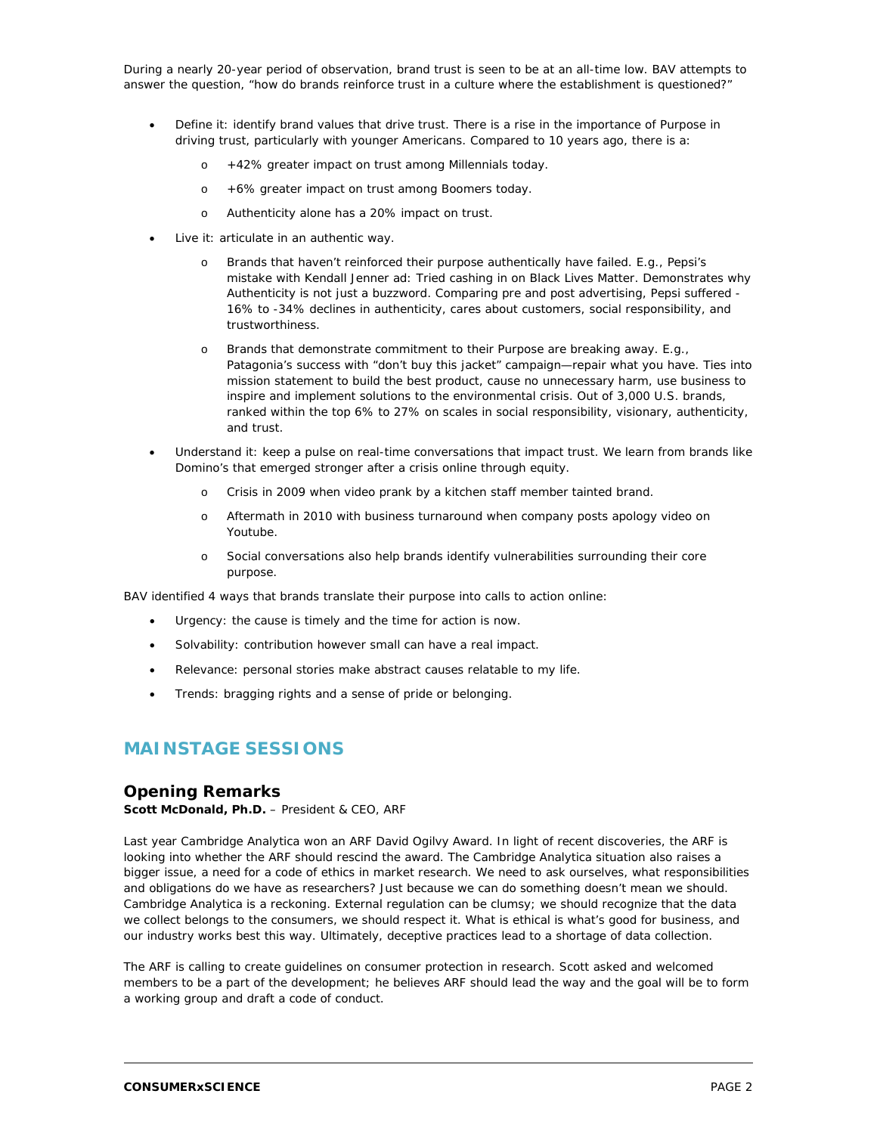During a nearly 20-year period of observation, brand trust is seen to be at an all-time low. BAV attempts to answer the question, "how do brands reinforce trust in a culture where the establishment is questioned?"

- Define it: identify brand values that drive trust. There is a rise in the importance of Purpose in driving trust, particularly with younger Americans. Compared to 10 years ago, there is a:
	- o +42% greater impact on trust among Millennials today.
	- o +6% greater impact on trust among Boomers today.
	- o Authenticity alone has a 20% impact on trust.
- Live it: articulate in an authentic way.
	- o Brands that haven't reinforced their purpose authentically have failed. E.g., Pepsi's mistake with Kendall Jenner ad: Tried cashing in on Black Lives Matter. Demonstrates why Authenticity is not just a buzzword. Comparing pre and post advertising, Pepsi suffered - 16% to -34% declines in authenticity, cares about customers, social responsibility, and trustworthiness.
	- o Brands that demonstrate commitment to their Purpose are breaking away. E.g., Patagonia's success with "don't buy this jacket" campaign—repair what you have. Ties into mission statement to build the best product, cause no unnecessary harm, use business to inspire and implement solutions to the environmental crisis. Out of 3,000 U.S. brands, ranked within the top 6% to 27% on scales in social responsibility, visionary, authenticity, and trust.
- Understand it: keep a pulse on real-time conversations that impact trust. We learn from brands like Domino's that emerged stronger after a crisis online through equity.
	- o Crisis in 2009 when video prank by a kitchen staff member tainted brand.
	- o Aftermath in 2010 with business turnaround when company posts apology video on Youtube.
	- o Social conversations also help brands identify vulnerabilities surrounding their core purpose.

BAV identified 4 ways that brands translate their purpose into calls to action online:

- Urgency: the cause is timely and the time for action is now.
- Solvability: contribution however small can have a real impact.
- Relevance: personal stories make abstract causes relatable to my life.
- Trends: bragging rights and a sense of pride or belonging.

# **MAINSTAGE SESSIONS**

# **Opening Remarks**

**Scott McDonald, Ph.D.** – President & CEO, ARF

Last year Cambridge Analytica won an ARF David Ogilvy Award. In light of recent discoveries, the ARF is looking into whether the ARF should rescind the award. The Cambridge Analytica situation also raises a bigger issue, a need for a code of ethics in market research. We need to ask ourselves, what responsibilities and obligations do we have as researchers? Just because we can do something doesn't mean we should. Cambridge Analytica is a reckoning. External regulation can be clumsy; we should recognize that the data we collect belongs to the consumers, we should respect it. What is ethical is what's good for business, and our industry works best this way. Ultimately, deceptive practices lead to a shortage of data collection.

The ARF is calling to create guidelines on consumer protection in research. Scott asked and welcomed members to be a part of the development; he believes ARF should lead the way and the goal will be to form a working group and draft a code of conduct.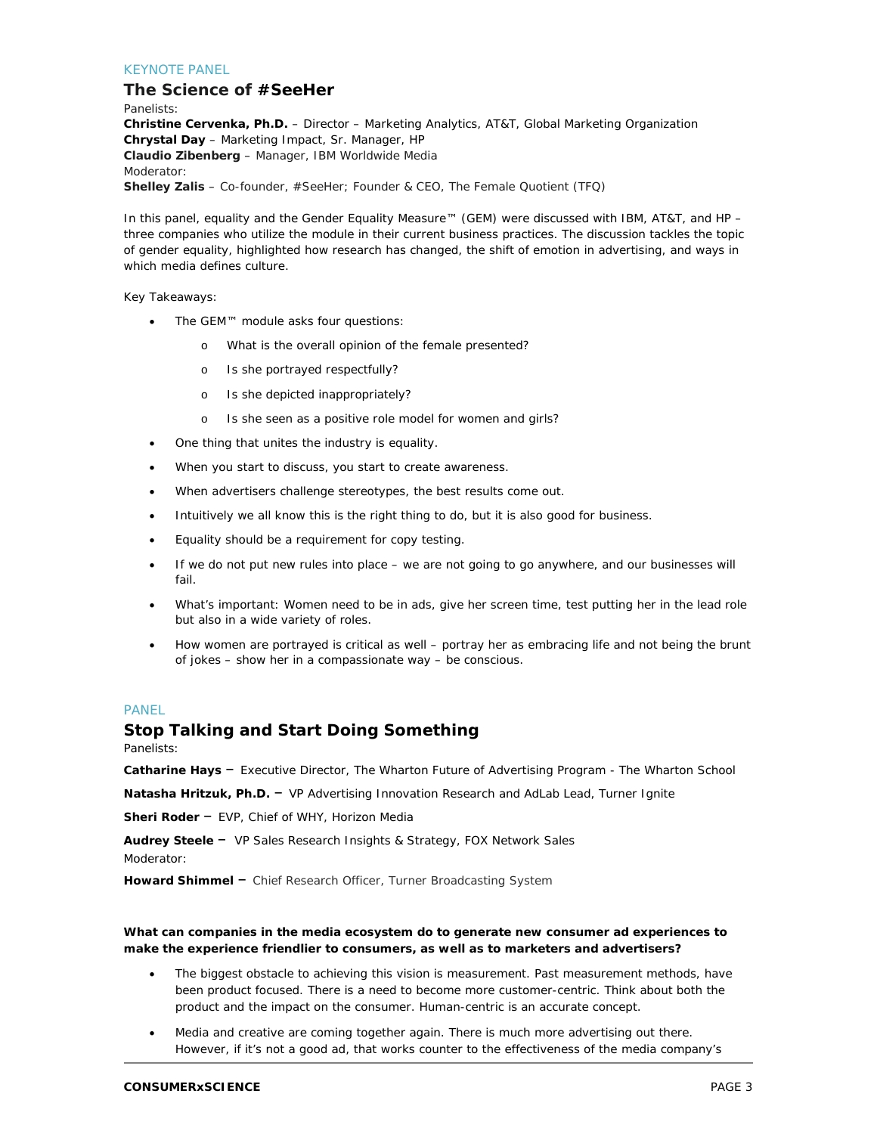#### KEYNOTE PANEL

#### **The Science of #SeeHer**

Panelists: **Christine Cervenka, Ph.D.** – Director – Marketing Analytics, AT&T, Global Marketing Organization **Chrystal Day** – Marketing Impact, Sr. Manager, HP **Claudio Zibenberg** – Manager, IBM Worldwide Media Moderator: **Shelley Zalis** – Co-founder, #SeeHer; Founder & CEO, The Female Quotient (TFQ)

In this panel, equality and the Gender Equality Measure™ (GEM) were discussed with IBM, AT&T, and HP – three companies who utilize the module in their current business practices. The discussion tackles the topic of gender equality, highlighted how research has changed, the shift of emotion in advertising, and ways in which media defines culture.

Key Takeaways:

- The GEM™ module asks four questions:
	- o What is the overall opinion of the female presented?
	- o Is she portrayed respectfully?
	- o Is she depicted inappropriately?
	- o Is she seen as a positive role model for women and girls?
- One thing that unites the industry is equality.
- When you start to discuss, you start to create awareness.
- When advertisers challenge stereotypes, the best results come out.
- Intuitively we all know this is the right thing to do, but it is also good for business.
- Equality should be a requirement for copy testing.
- If we do not put new rules into place we are not going to go anywhere, and our businesses will fail.
- What's important: Women need to be in ads, give her screen time, test putting her in the lead role but also in a wide variety of roles.
- How women are portrayed is critical as well portray her as embracing life and not being the brunt of jokes – show her in a compassionate way – be conscious.

#### PANEL

#### **Stop Talking and Start Doing Something**

#### Panelists:

**Catharine Hays** – Executive Director, The Wharton Future of Advertising Program - The Wharton School

**Natasha Hritzuk, Ph.D.** – VP Advertising Innovation Research and AdLab Lead, Turner Ignite

**Sheri Roder** – EVP, Chief of WHY, Horizon Media

**Audrey Steele** – VP Sales Research Insights & Strategy, FOX Network Sales

Moderator:

**Howard Shimmel** – Chief Research Officer, Turner Broadcasting System

#### **What can companies in the media ecosystem do to generate new consumer ad experiences to make the experience friendlier to consumers, as well as to marketers and advertisers?**

- The biggest obstacle to achieving this vision is measurement. Past measurement methods, have been product focused. There is a need to become more customer-centric. Think about both the product and the impact on the consumer. Human-centric is an accurate concept.
- Media and creative are coming together again. There is much more advertising out there. However, if it's not a good ad, that works counter to the effectiveness of the media company's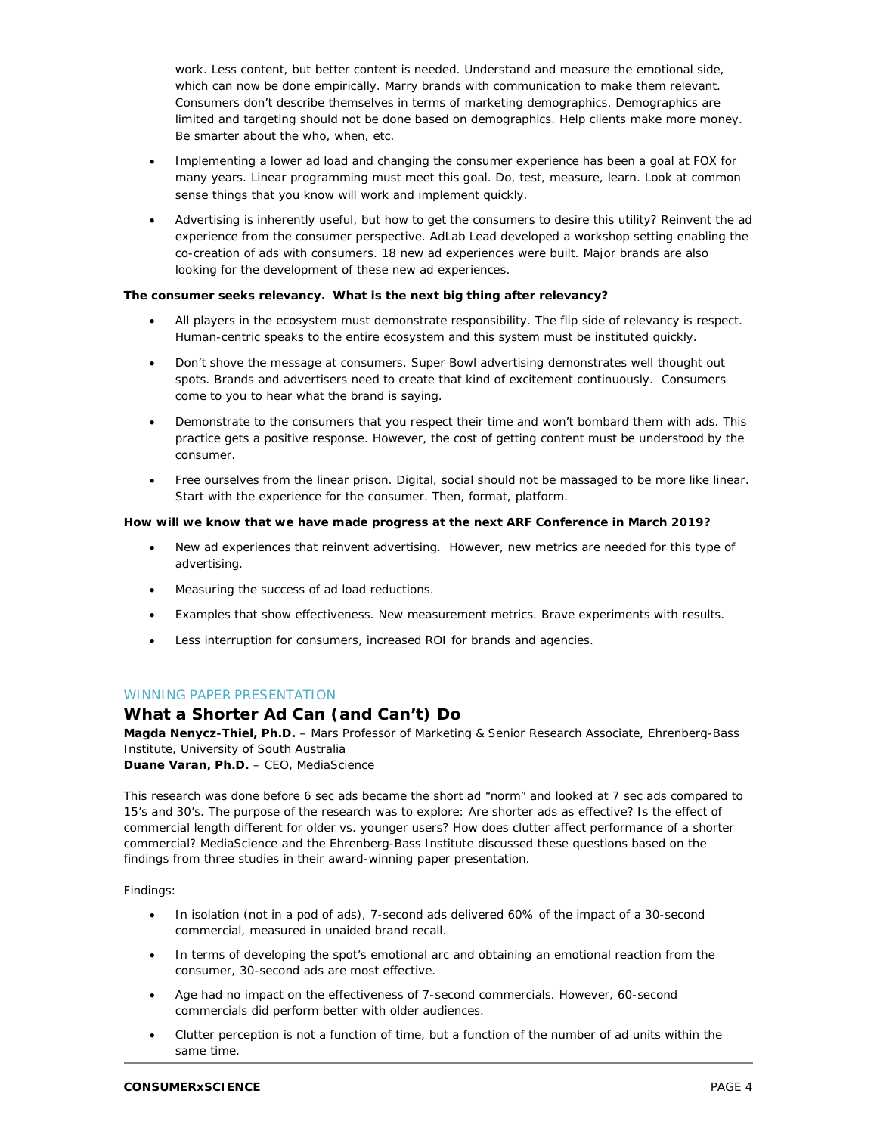work. Less content, but better content is needed. Understand and measure the emotional side, which can now be done empirically. Marry brands with communication to make them relevant. Consumers don't describe themselves in terms of marketing demographics. Demographics are limited and targeting should not be done based on demographics. Help clients make more money. Be smarter about the who, when, etc.

- Implementing a lower ad load and changing the consumer experience has been a goal at FOX for many years. Linear programming must meet this goal. Do, test, measure, learn. Look at common sense things that you know will work and implement quickly.
- Advertising is inherently useful, but how to get the consumers to desire this utility? Reinvent the ad experience from the consumer perspective. AdLab Lead developed a workshop setting enabling the co-creation of ads with consumers. 18 new ad experiences were built. Major brands are also looking for the development of these new ad experiences.

#### **The consumer seeks relevancy. What is the next big thing after relevancy?**

- All players in the ecosystem must demonstrate responsibility. The flip side of relevancy is respect. Human-centric speaks to the entire ecosystem and this system must be instituted quickly.
- Don't shove the message at consumers, Super Bowl advertising demonstrates well thought out spots. Brands and advertisers need to create that kind of excitement continuously. Consumers come to you to hear what the brand is saying.
- Demonstrate to the consumers that you respect their time and won't bombard them with ads. This practice gets a positive response. However, the cost of getting content must be understood by the consumer.
- Free ourselves from the linear prison. Digital, social should not be massaged to be more like linear. Start with the experience for the consumer. Then, format, platform.

#### **How will we know that we have made progress at the next ARF Conference in March 2019?**

- New ad experiences that reinvent advertising. However, new metrics are needed for this type of advertising.
- Measuring the success of ad load reductions.
- Examples that show effectiveness. New measurement metrics. Brave experiments with results.
- Less interruption for consumers, increased ROI for brands and agencies.

#### WINNING PAPER PRESENTATION

# **What a Shorter Ad Can (and Can't) Do**

**Magda Nenycz-Thiel, Ph.D.** – Mars Professor of Marketing & Senior Research Associate, Ehrenberg-Bass Institute, University of South Australia

**Duane Varan, Ph.D.** – CEO, MediaScience

This research was done before 6 sec ads became the short ad "norm" and looked at 7 sec ads compared to 15's and 30's. The purpose of the research was to explore: Are shorter ads as effective? Is the effect of commercial length different for older vs. younger users? How does clutter affect performance of a shorter commercial? MediaScience and the Ehrenberg-Bass Institute discussed these questions based on the findings from three studies in their award-winning paper presentation.

Findings:

- In isolation (not in a pod of ads), 7-second ads delivered 60% of the impact of a 30-second commercial, measured in unaided brand recall.
- In terms of developing the spot's emotional arc and obtaining an emotional reaction from the consumer, 30-second ads are most effective.
- Age had no impact on the effectiveness of 7-second commercials. However, 60-second commercials did perform better with older audiences.
- Clutter perception is not a function of time, but a function of the number of ad units within the same time.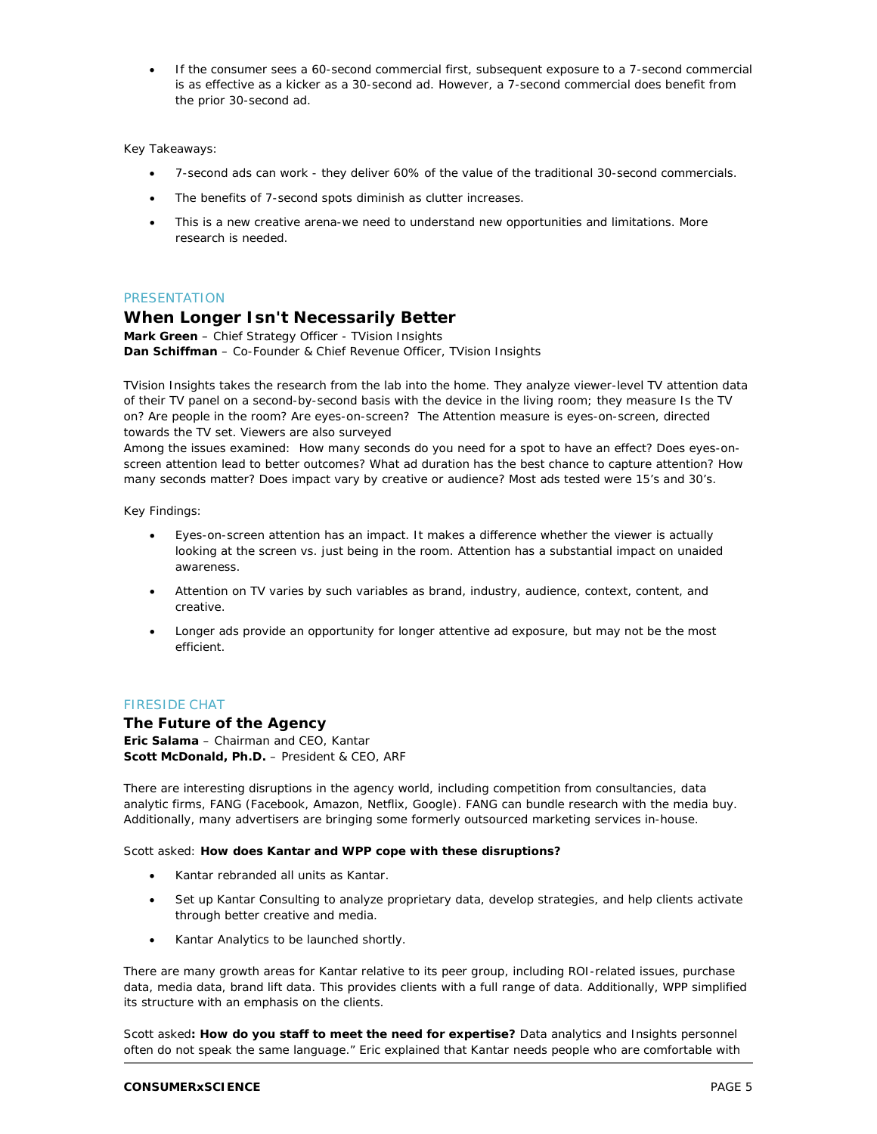• If the consumer sees a 60-second commercial first, subsequent exposure to a 7-second commercial is as effective as a kicker as a 30-second ad. However, a 7-second commercial does benefit from the prior 30-second ad.

#### Key Takeaways:

- 7-second ads can work they deliver 60% of the value of the traditional 30-second commercials.
- The benefits of 7-second spots diminish as clutter increases.
- This is a new creative arena-we need to understand new opportunities and limitations. More research is needed.

#### PRESENTATION

### **When Longer Isn't Necessarily Better**

**Mark Green** – Chief Strategy Officer - TVision Insights **Dan Schiffman** – Co-Founder & Chief Revenue Officer, TVision Insights

TVision Insights takes the research from the lab into the home. They analyze viewer-level TV attention data of their TV panel on a second-by-second basis with the device in the living room; they measure Is the TV on? Are people in the room? Are eyes-on-screen? The Attention measure is eyes-on-screen, directed towards the TV set. Viewers are also surveyed

Among the issues examined: How many seconds do you need for a spot to have an effect? Does eyes-onscreen attention lead to better outcomes? What ad duration has the best chance to capture attention? How many seconds matter? Does impact vary by creative or audience? Most ads tested were 15's and 30's.

Key Findings:

- Eyes-on-screen attention has an impact. It makes a difference whether the viewer is actually looking at the screen vs. just being in the room. Attention has a substantial impact on unaided awareness.
- Attention on TV varies by such variables as brand, industry, audience, context, content, and creative.
- Longer ads provide an opportunity for longer attentive ad exposure, but may not be the most efficient.

#### FIRESIDE CHAT

#### **The Future of the Agency**

**Eric Salama** – Chairman and CEO, Kantar **Scott McDonald, Ph.D.** – President & CEO, ARF

There are interesting disruptions in the agency world, including competition from consultancies, data analytic firms, FANG (Facebook, Amazon, Netflix, Google). FANG can bundle research with the media buy. Additionally, many advertisers are bringing some formerly outsourced marketing services in-house.

#### Scott asked: **How does Kantar and WPP cope with these disruptions?**

- Kantar rebranded all units as Kantar.
- Set up Kantar Consulting to analyze proprietary data, develop strategies, and help clients activate through better creative and media.
- Kantar Analytics to be launched shortly.

There are many growth areas for Kantar relative to its peer group, including ROI-related issues, purchase data, media data, brand lift data. This provides clients with a full range of data. Additionally, WPP simplified its structure with an emphasis on the clients.

Scott asked**: How do you staff to meet the need for expertise?** Data analytics and Insights personnel often do not speak the same language." Eric explained that Kantar needs people who are comfortable with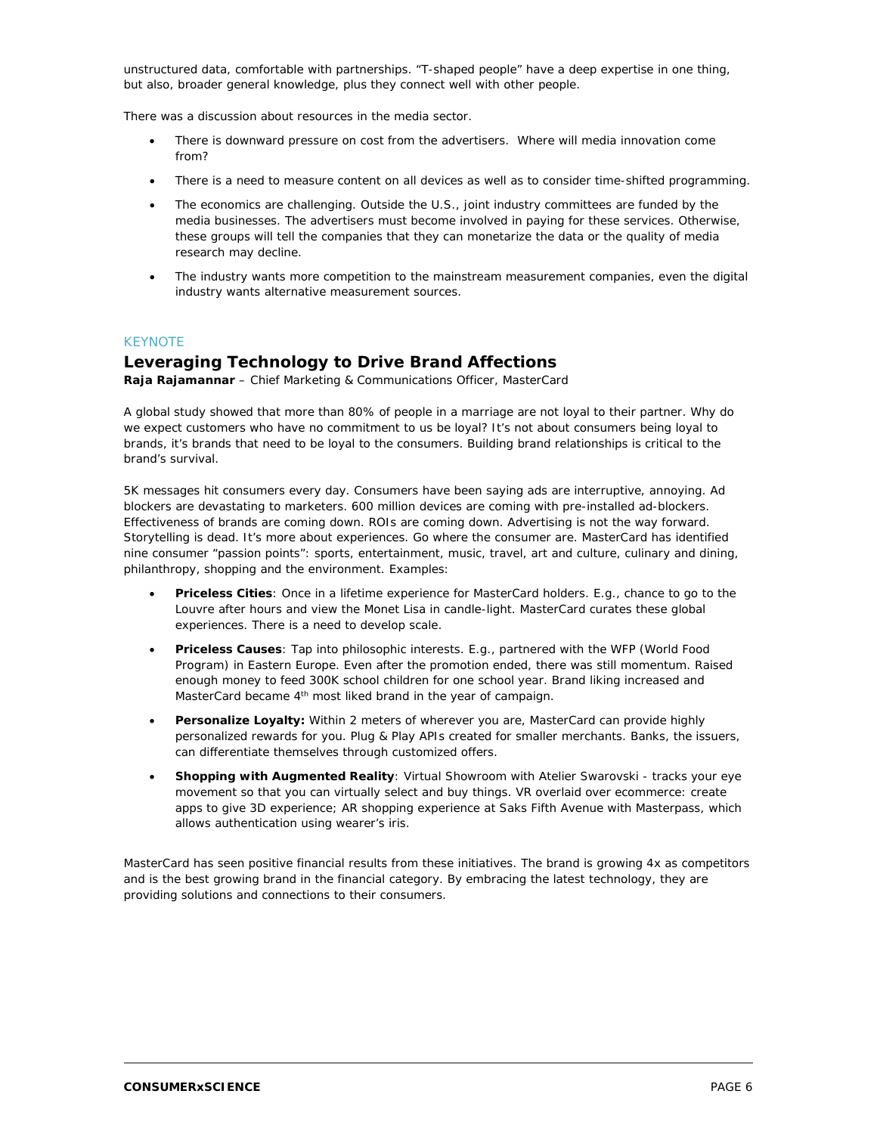unstructured data, comfortable with partnerships. "T-shaped people" have a deep expertise in one thing, but also, broader general knowledge, plus they connect well with other people.

There was a discussion about resources in the media sector.

- There is downward pressure on cost from the advertisers. Where will media innovation come from?
- There is a need to measure content on all devices as well as to consider time-shifted programming.
- The economics are challenging. Outside the U.S., joint industry committees are funded by the media businesses. The advertisers must become involved in paying for these services. Otherwise, these groups will tell the companies that they can monetarize the data or the quality of media research may decline.
- The industry wants more competition to the mainstream measurement companies, even the digital industry wants alternative measurement sources.

#### **KEYNOTE**

#### **Leveraging Technology to Drive Brand Affections**

**Raja Rajamannar** – Chief Marketing & Communications Officer, MasterCard

A global study showed that more than 80% of people in a marriage are not loyal to their partner. Why do we expect customers who have no commitment to us be loyal? It's not about consumers being loyal to brands, it's brands that need to be loyal to the consumers. Building brand relationships is critical to the brand's survival.

5K messages hit consumers every day. Consumers have been saying ads are interruptive, annoying. Ad blockers are devastating to marketers. 600 million devices are coming with pre-installed ad-blockers. Effectiveness of brands are coming down. ROIs are coming down. Advertising is not the way forward. Storytelling is dead. It's more about experiences. Go where the consumer are. MasterCard has identified nine consumer "passion points": sports, entertainment, music, travel, art and culture, culinary and dining, philanthropy, shopping and the environment. Examples:

- **Priceless Cities**: Once in a lifetime experience for MasterCard holders. E.g., chance to go to the Louvre after hours and view the Monet Lisa in candle-light. MasterCard curates these global experiences. There is a need to develop scale.
- **Priceless Causes**: Tap into philosophic interests. E.g., partnered with the WFP (World Food Program) in Eastern Europe. Even after the promotion ended, there was still momentum. Raised enough money to feed 300K school children for one school year. Brand liking increased and MasterCard became 4th most liked brand in the year of campaign.
- **Personalize Loyalty:** Within 2 meters of wherever you are, MasterCard can provide highly personalized rewards for you. Plug & Play APIs created for smaller merchants. Banks, the issuers, can differentiate themselves through customized offers.
- **Shopping with Augmented Reality**: Virtual Showroom with Atelier Swarovski tracks your eye movement so that you can virtually select and buy things. VR overlaid over ecommerce: create apps to give 3D experience; AR shopping experience at Saks Fifth Avenue with Masterpass, which allows authentication using wearer's iris.

MasterCard has seen positive financial results from these initiatives. The brand is growing 4x as competitors and is the best growing brand in the financial category. By embracing the latest technology, they are providing solutions and connections to their consumers.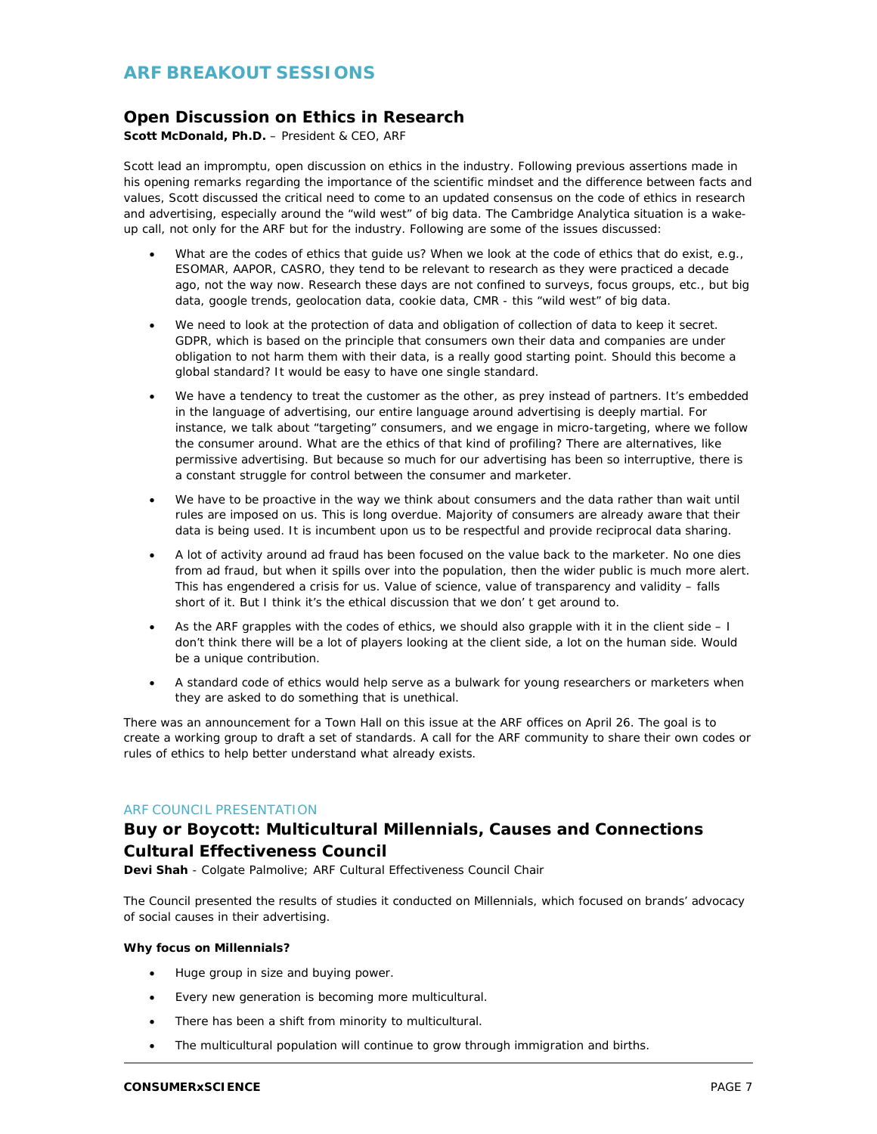# **ARF BREAKOUT SESSIONS**

# **Open Discussion on Ethics in Research**

**Scott McDonald, Ph.D.** – President & CEO, ARF

Scott lead an impromptu, open discussion on ethics in the industry. Following previous assertions made in his opening remarks regarding the importance of the scientific mindset and the difference between facts and values, Scott discussed the critical need to come to an updated consensus on the code of ethics in research and advertising, especially around the "wild west" of big data. The Cambridge Analytica situation is a wakeup call, not only for the ARF but for the industry. Following are some of the issues discussed:

- What are the codes of ethics that guide us? When we look at the code of ethics that do exist, e.g., ESOMAR, AAPOR, CASRO, they tend to be relevant to research as they were practiced a decade ago, not the way now. Research these days are not confined to surveys, focus groups, etc., but big data, google trends, geolocation data, cookie data, CMR - this "wild west" of big data.
- We need to look at the protection of data and obligation of collection of data to keep it secret. GDPR, which is based on the principle that consumers own their data and companies are under obligation to not harm them with their data, is a really good starting point. Should this become a global standard? It would be easy to have one single standard.
- We have a tendency to treat the customer as the other, as prey instead of partners. It's embedded in the language of advertising, our entire language around advertising is deeply martial. For instance, we talk about "targeting" consumers, and we engage in micro-targeting, where we follow the consumer around. What are the ethics of that kind of profiling? There are alternatives, like permissive advertising. But because so much for our advertising has been so interruptive, there is a constant struggle for control between the consumer and marketer.
- We have to be proactive in the way we think about consumers and the data rather than wait until rules are imposed on us. This is long overdue. Majority of consumers are already aware that their data is being used. It is incumbent upon us to be respectful and provide reciprocal data sharing.
- A lot of activity around ad fraud has been focused on the value back to the marketer. No one dies from ad fraud, but when it spills over into the population, then the wider public is much more alert. This has engendered a crisis for us. Value of science, value of transparency and validity – falls short of it. But I think it's the ethical discussion that we don' t get around to.
- As the ARF grapples with the codes of ethics, we should also grapple with it in the client side I don't think there will be a lot of players looking at the client side, a lot on the human side. Would be a unique contribution.
- A standard code of ethics would help serve as a bulwark for young researchers or marketers when they are asked to do something that is unethical.

There was an announcement for a Town Hall on this issue at the ARF offices on April 26. The goal is to create a working group to draft a set of standards. A call for the ARF community to share their own codes or rules of ethics to help better understand what already exists.

#### ARF COUNCIL PRESENTATION

# **Buy or Boycott: Multicultural Millennials, Causes and Connections Cultural Effectiveness Council**

**Devi Shah** - Colgate Palmolive; ARF Cultural Effectiveness Council Chair

The Council presented the results of studies it conducted on Millennials, which focused on brands' advocacy of social causes in their advertising.

#### **Why focus on Millennials?**

- Huge group in size and buying power.
- Every new generation is becoming more multicultural.
- There has been a shift from minority to multicultural.
- The multicultural population will continue to grow through immigration and births.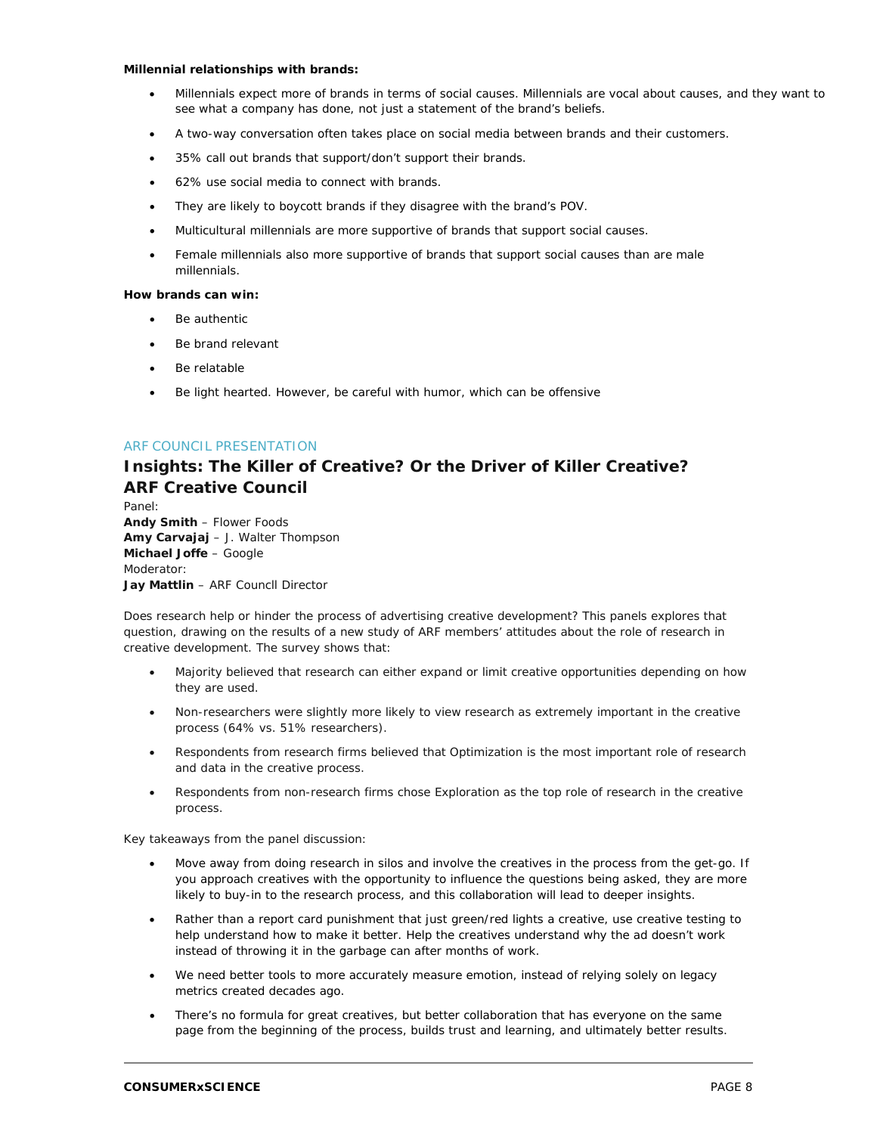#### **Millennial relationships with brands:**

- Millennials expect more of brands in terms of social causes. Millennials are vocal about causes, and they want to see what a company has done, not just a statement of the brand's beliefs.
- A two-way conversation often takes place on social media between brands and their customers.
- 35% call out brands that support/don't support their brands.
- 62% use social media to connect with brands.
- They are likely to boycott brands if they disagree with the brand's POV.
- Multicultural millennials are more supportive of brands that support social causes.
- Female millennials also more supportive of brands that support social causes than are male millennials.

#### **How brands can win:**

- Be authentic
- Be brand relevant
- Be relatable
- Be light hearted. However, be careful with humor, which can be offensive

#### ARF COUNCIL PRESENTATION

# **Insights: The Killer of Creative? Or the Driver of Killer Creative? ARF Creative Council**

Panel: **Andy Smith** – Flower Foods **Amy Carvajaj** – J. Walter Thompson **Michael Joffe** – Google Moderator: **Jay Mattlin** – ARF Councll Director

Does research help or hinder the process of advertising creative development? This panels explores that question, drawing on the results of a new study of ARF members' attitudes about the role of research in creative development. The survey shows that:

- Majority believed that research can either expand or limit creative opportunities depending on how they are used.
- Non-researchers were slightly more likely to view research as extremely important in the creative process (64% vs. 51% researchers).
- Respondents from research firms believed that Optimization is the most important role of research and data in the creative process.
- Respondents from non-research firms chose Exploration as the top role of research in the creative process.

Key takeaways from the panel discussion:

- Move away from doing research in silos and involve the creatives in the process from the get-go. If you approach creatives with the opportunity to influence the questions being asked, they are more likely to buy-in to the research process, and this collaboration will lead to deeper insights.
- Rather than a report card punishment that just green/red lights a creative, use creative testing to help understand how to make it better. Help the creatives understand why the ad doesn't work instead of throwing it in the garbage can after months of work.
- We need better tools to more accurately measure emotion, instead of relying solely on legacy metrics created decades ago.
- There's no formula for great creatives, but better collaboration that has everyone on the same page from the beginning of the process, builds trust and learning, and ultimately better results.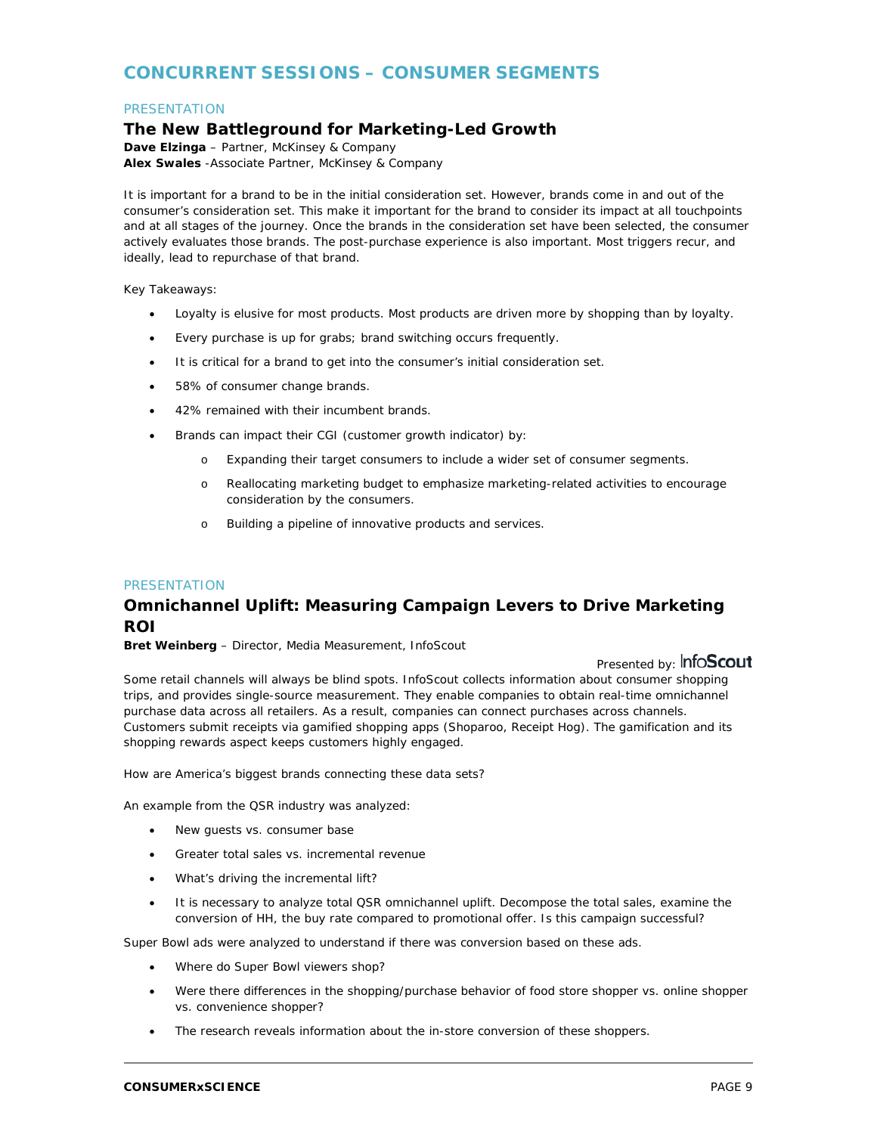# **CONCURRENT SESSIONS – CONSUMER SEGMENTS**

#### **PRESENTATION**

# **The New Battleground for Marketing-Led Growth**

**Dave Elzinga** – Partner, McKinsey & Company **Alex Swales** -Associate Partner, McKinsey & Company

It is important for a brand to be in the initial consideration set. However, brands come in and out of the consumer's consideration set. This make it important for the brand to consider its impact at all touchpoints and at all stages of the journey. Once the brands in the consideration set have been selected, the consumer actively evaluates those brands. The post-purchase experience is also important. Most triggers recur, and ideally, lead to repurchase of that brand.

Key Takeaways:

- Loyalty is elusive for most products. Most products are driven more by shopping than by loyalty.
- Every purchase is up for grabs; brand switching occurs frequently.
- It is critical for a brand to get into the consumer's initial consideration set.
- 58% of consumer change brands.
- 42% remained with their incumbent brands.
- Brands can impact their CGI (customer growth indicator) by:
	- o Expanding their target consumers to include a wider set of consumer segments.
	- o Reallocating marketing budget to emphasize marketing-related activities to encourage consideration by the consumers.
	- o Building a pipeline of innovative products and services.

#### **PRESENTATION**

# **Omnichannel Uplift: Measuring Campaign Levers to Drive Marketing ROI**

**Bret Weinberg** – Director, Media Measurement, InfoScout

Presented by: InfoScout

Some retail channels will always be blind spots. InfoScout collects information about consumer shopping trips, and provides single-source measurement. They enable companies to obtain real-time omnichannel purchase data across all retailers. As a result, companies can connect purchases across channels. Customers submit receipts via gamified shopping apps (Shoparoo, Receipt Hog). The gamification and its shopping rewards aspect keeps customers highly engaged.

How are America's biggest brands connecting these data sets?

An example from the QSR industry was analyzed:

- New guests vs. consumer base
- Greater total sales vs. incremental revenue
- What's driving the incremental lift?
- It is necessary to analyze total QSR omnichannel uplift. Decompose the total sales, examine the conversion of HH, the buy rate compared to promotional offer. Is this campaign successful?

Super Bowl ads were analyzed to understand if there was conversion based on these ads.

- Where do Super Bowl viewers shop?
- Were there differences in the shopping/purchase behavior of food store shopper vs. online shopper vs. convenience shopper?
- The research reveals information about the in-store conversion of these shoppers.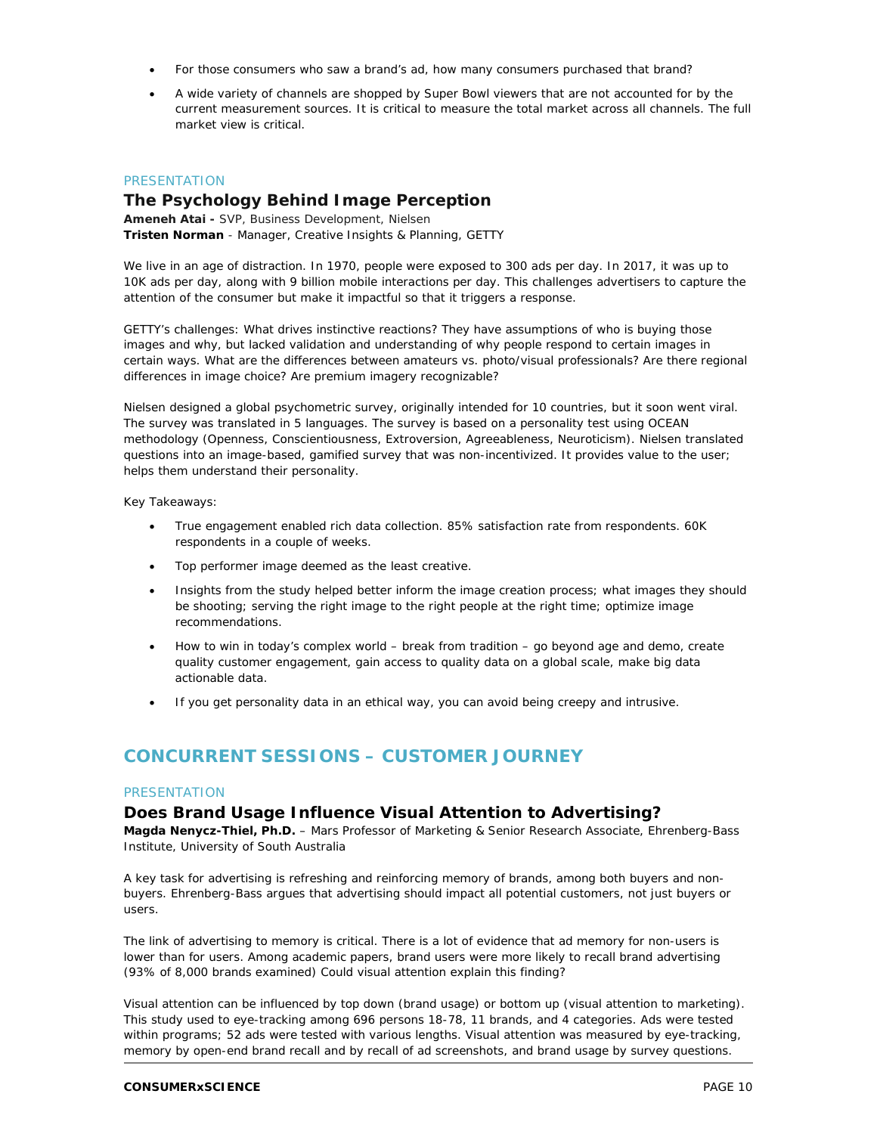- For those consumers who saw a brand's ad, how many consumers purchased that brand?
- A wide variety of channels are shopped by Super Bowl viewers that are not accounted for by the current measurement sources. It is critical to measure the total market across all channels. The full market view is critical.

#### **PRESENTATION**

# **The Psychology Behind Image Perception**

**Ameneh Atai -** SVP, Business Development, Nielsen **Tristen Norman** - Manager, Creative Insights & Planning, GETTY

We live in an age of distraction. In 1970, people were exposed to 300 ads per day. In 2017, it was up to 10K ads per day, along with 9 billion mobile interactions per day. This challenges advertisers to capture the attention of the consumer but make it impactful so that it triggers a response.

GETTY's challenges: What drives instinctive reactions? They have assumptions of who is buying those images and why, but lacked validation and understanding of why people respond to certain images in certain ways. What are the differences between amateurs vs. photo/visual professionals? Are there regional differences in image choice? Are premium imagery recognizable?

Nielsen designed a global psychometric survey, originally intended for 10 countries, but it soon went viral. The survey was translated in 5 languages. The survey is based on a personality test using OCEAN methodology (Openness, Conscientiousness, Extroversion, Agreeableness, Neuroticism). Nielsen translated questions into an image-based, gamified survey that was non-incentivized. It provides value to the user; helps them understand their personality.

Key Takeaways:

- True engagement enabled rich data collection. 85% satisfaction rate from respondents. 60K respondents in a couple of weeks.
- Top performer image deemed as the least creative.
- Insights from the study helped better inform the image creation process; what images they should be shooting; serving the right image to the right people at the right time; optimize image recommendations.
- How to win in today's complex world break from tradition go beyond age and demo, create quality customer engagement, gain access to quality data on a global scale, make big data actionable data.
- If you get personality data in an ethical way, you can avoid being creepy and intrusive.

# **CONCURRENT SESSIONS – CUSTOMER JOURNEY**

#### **PRESENTATION**

#### **Does Brand Usage Influence Visual Attention to Advertising?**

**Magda Nenycz-Thiel, Ph.D.** – Mars Professor of Marketing & Senior Research Associate, Ehrenberg-Bass Institute, University of South Australia

A key task for advertising is refreshing and reinforcing memory of brands, among both buyers and nonbuyers. Ehrenberg-Bass argues that advertising should impact all potential customers, not just buyers or users.

The link of advertising to memory is critical. There is a lot of evidence that ad memory for non-users is lower than for users. Among academic papers, brand users were more likely to recall brand advertising (93% of 8,000 brands examined) Could visual attention explain this finding?

Visual attention can be influenced by top down (brand usage) or bottom up (visual attention to marketing). This study used to eye-tracking among 696 persons 18-78, 11 brands, and 4 categories. Ads were tested within programs; 52 ads were tested with various lengths. Visual attention was measured by eye-tracking, memory by open-end brand recall and by recall of ad screenshots, and brand usage by survey questions.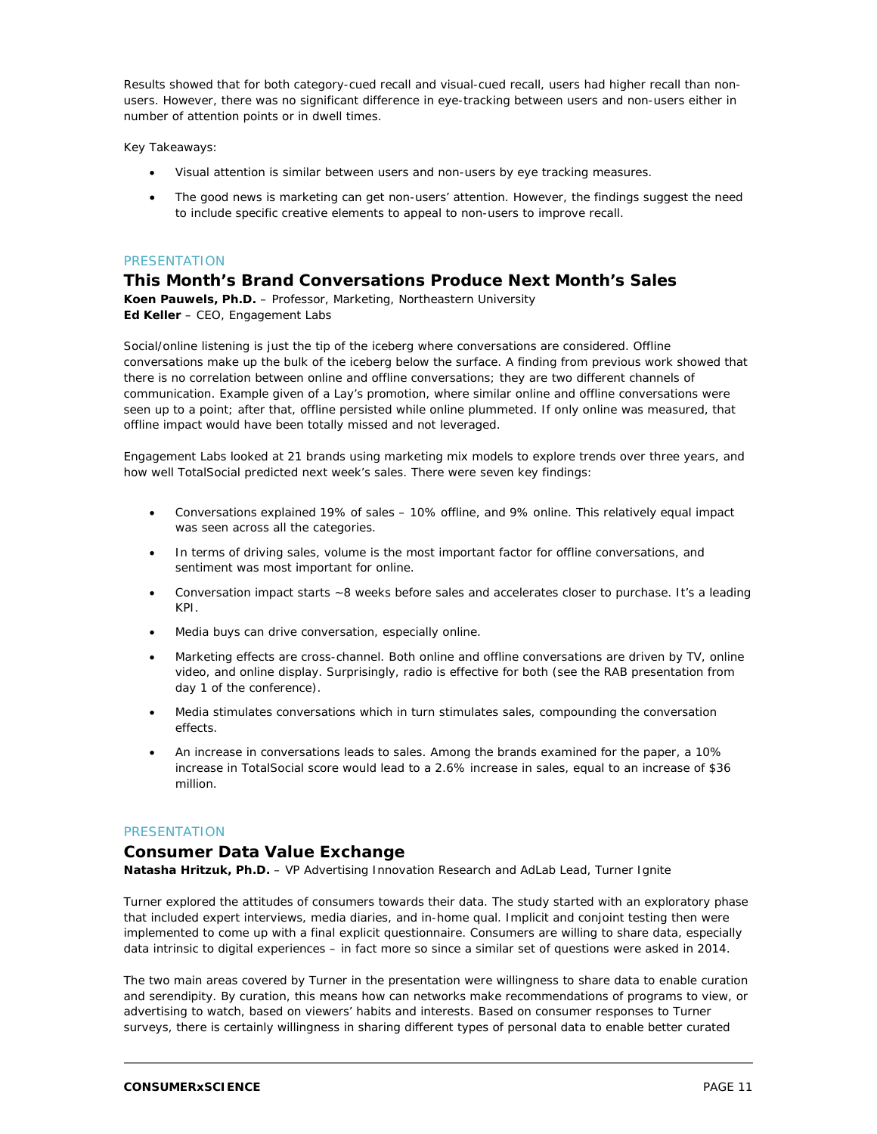Results showed that for both category-cued recall and visual-cued recall, users had higher recall than nonusers. However, there was no significant difference in eye-tracking between users and non-users either in number of attention points or in dwell times.

Key Takeaways:

- Visual attention is similar between users and non-users by eye tracking measures.
- The good news is marketing can get non-users' attention. However, the findings suggest the need to include specific creative elements to appeal to non-users to improve recall.

#### PRESENTATION

# **This Month's Brand Conversations Produce Next Month's Sales**

**Koen Pauwels, Ph.D.** – Professor, Marketing, Northeastern University **Ed Keller** – CEO, Engagement Labs

Social/online listening is just the tip of the iceberg where conversations are considered. Offline conversations make up the bulk of the iceberg below the surface. A finding from previous work showed that there is no correlation between online and offline conversations; they are two different channels of communication. Example given of a Lay's promotion, where similar online and offline conversations were seen up to a point; after that, offline persisted while online plummeted. If only online was measured, that offline impact would have been totally missed and not leveraged.

Engagement Labs looked at 21 brands using marketing mix models to explore trends over three years, and how well TotalSocial predicted next week's sales. There were seven key findings:

- Conversations explained 19% of sales 10% offline, and 9% online. This relatively equal impact was seen across all the categories.
- In terms of driving sales, volume is the most important factor for offline conversations, and sentiment was most important for online.
- Conversation impact starts ~8 weeks before sales and accelerates closer to purchase. It's a leading KPI.
- Media buys can drive conversation, especially online.
- Marketing effects are cross-channel. Both online and offline conversations are driven by TV, online video, and online display. Surprisingly, radio is effective for both (see the RAB presentation from day 1 of the conference).
- Media stimulates conversations which in turn stimulates sales, compounding the conversation effects.
- An increase in conversations leads to sales. Among the brands examined for the paper, a 10% increase in TotalSocial score would lead to a 2.6% increase in sales, equal to an increase of \$36 million.

#### PRESENTATION

#### **Consumer Data Value Exchange**

**Natasha Hritzuk, Ph.D.** – VP Advertising Innovation Research and AdLab Lead, Turner Ignite

Turner explored the attitudes of consumers towards their data. The study started with an exploratory phase that included expert interviews, media diaries, and in-home qual. Implicit and conjoint testing then were implemented to come up with a final explicit questionnaire. Consumers are willing to share data, especially data intrinsic to digital experiences – in fact more so since a similar set of questions were asked in 2014.

The two main areas covered by Turner in the presentation were willingness to share data to enable curation and serendipity. By curation, this means how can networks make recommendations of programs to view, or advertising to watch, based on viewers' habits and interests. Based on consumer responses to Turner surveys, there is certainly willingness in sharing different types of personal data to enable better curated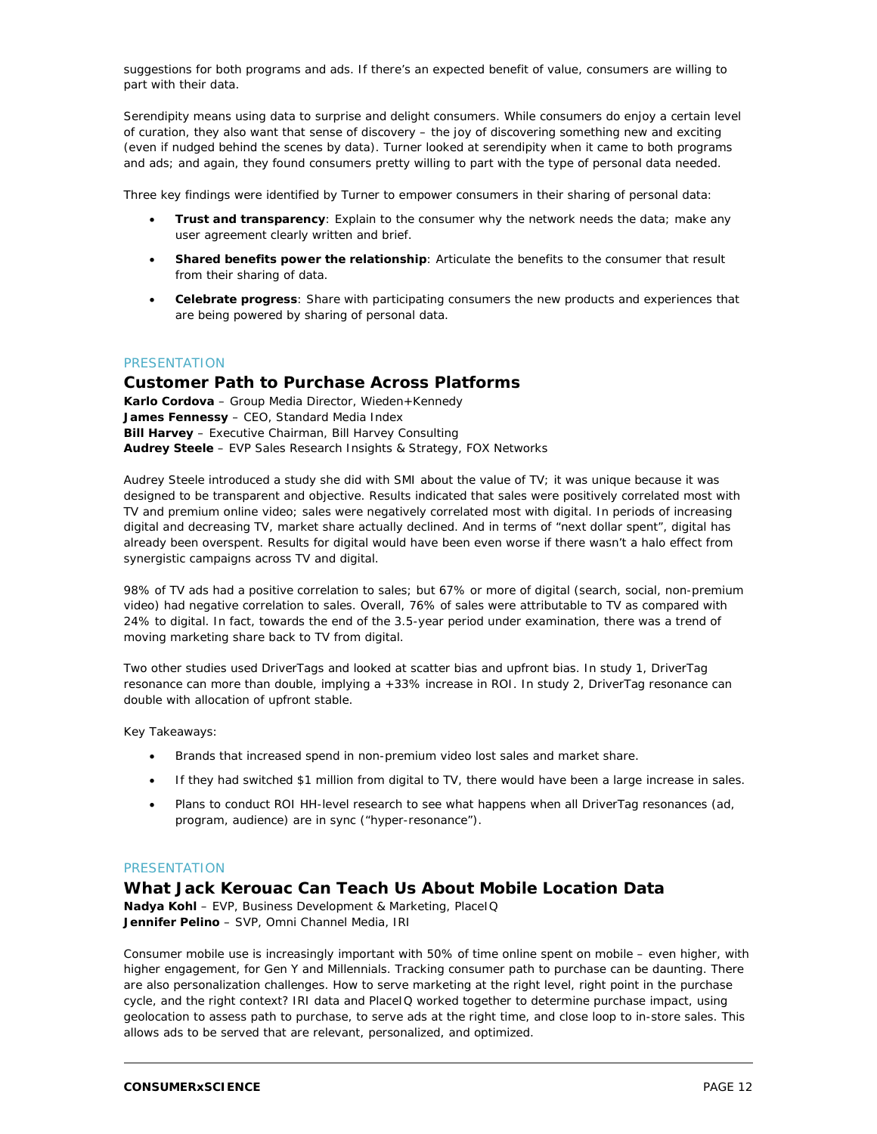suggestions for both programs and ads. If there's an expected benefit of value, consumers are willing to part with their data.

Serendipity means using data to surprise and delight consumers. While consumers do enjoy a certain level of curation, they also want that sense of discovery – the joy of discovering something new and exciting (even if nudged behind the scenes by data). Turner looked at serendipity when it came to both programs and ads; and again, they found consumers pretty willing to part with the type of personal data needed.

Three key findings were identified by Turner to empower consumers in their sharing of personal data:

- **Trust and transparency:** Explain to the consumer why the network needs the data; make any user agreement clearly written and brief.
- **Shared benefits power the relationship**: Articulate the benefits to the consumer that result from their sharing of data.
- **Celebrate progress**: Share with participating consumers the new products and experiences that are being powered by sharing of personal data.

#### PRESENTATION

# **Customer Path to Purchase Across Platforms**

**Karlo Cordova** – Group Media Director, Wieden+Kennedy **James Fennessy** – CEO, Standard Media Index **Bill Harvey** – Executive Chairman, Bill Harvey Consulting **Audrey Steele** – EVP Sales Research Insights & Strategy, FOX Networks

Audrey Steele introduced a study she did with SMI about the value of TV; it was unique because it was designed to be transparent and objective. Results indicated that sales were positively correlated most with TV and premium online video; sales were negatively correlated most with digital. In periods of increasing digital and decreasing TV, market share actually declined. And in terms of "next dollar spent", digital has already been overspent. Results for digital would have been even worse if there wasn't a halo effect from synergistic campaigns across TV and digital.

98% of TV ads had a positive correlation to sales; but 67% or more of digital (search, social, non-premium video) had negative correlation to sales. Overall, 76% of sales were attributable to TV as compared with 24% to digital. In fact, towards the end of the 3.5-year period under examination, there was a trend of moving marketing share back to TV from digital.

Two other studies used DriverTags and looked at scatter bias and upfront bias. In study 1, DriverTag resonance can more than double, implying a +33% increase in ROI. In study 2, DriverTag resonance can double with allocation of upfront stable.

Key Takeaways:

- Brands that increased spend in non-premium video lost sales and market share.
- If they had switched \$1 million from digital to TV, there would have been a large increase in sales.
- Plans to conduct ROI HH-level research to see what happens when all DriverTag resonances (ad, program, audience) are in sync ("hyper-resonance").

#### **PRESENTATION**

#### **What Jack Kerouac Can Teach Us About Mobile Location Data**

**Nadya Kohl** – EVP, Business Development & Marketing, PlaceIQ **Jennifer Pelino** – SVP, Omni Channel Media, IRI

Consumer mobile use is increasingly important with 50% of time online spent on mobile – even higher, with higher engagement, for Gen Y and Millennials. Tracking consumer path to purchase can be daunting. There are also personalization challenges. How to serve marketing at the right level, right point in the purchase cycle, and the right context? IRI data and PlaceIQ worked together to determine purchase impact, using geolocation to assess path to purchase, to serve ads at the right time, and close loop to in-store sales. This allows ads to be served that are relevant, personalized, and optimized.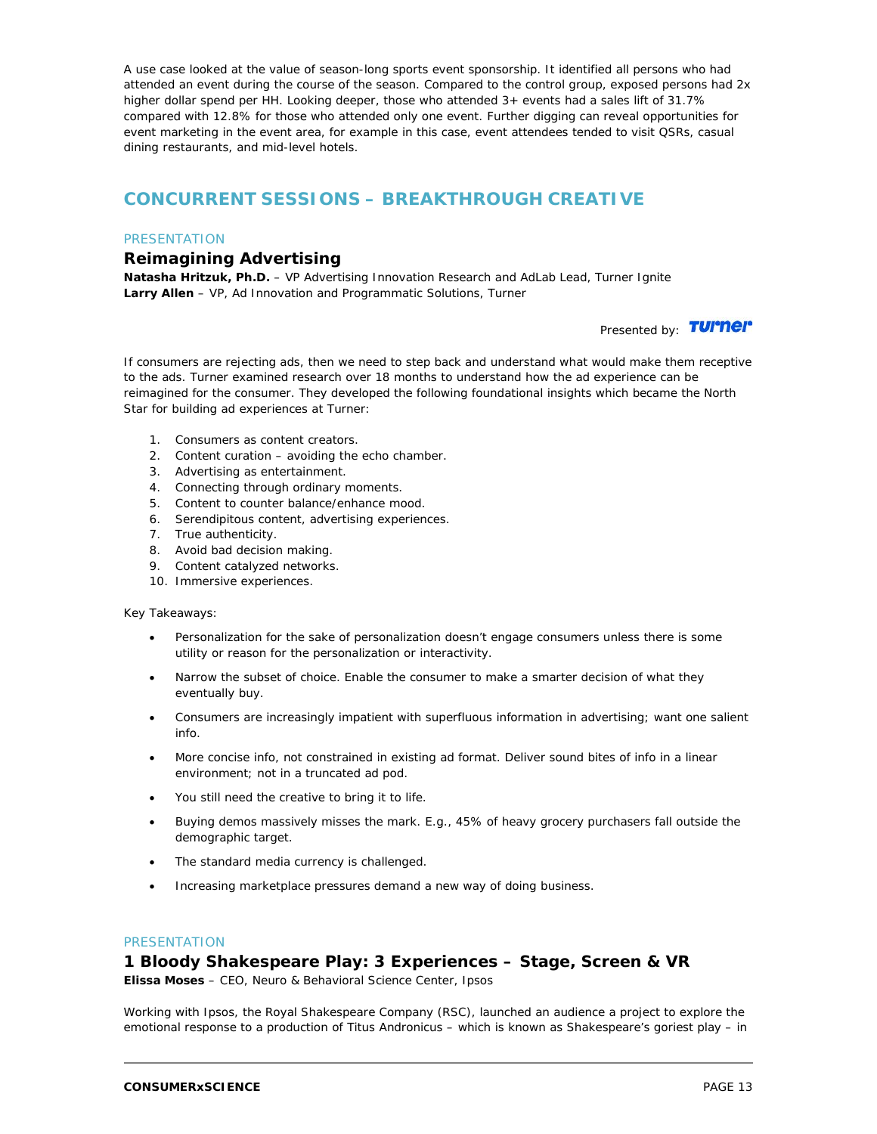A use case looked at the value of season-long sports event sponsorship. It identified all persons who had attended an event during the course of the season. Compared to the control group, exposed persons had 2x higher dollar spend per HH. Looking deeper, those who attended 3+ events had a sales lift of 31.7% compared with 12.8% for those who attended only one event. Further digging can reveal opportunities for event marketing in the event area, for example in this case, event attendees tended to visit QSRs, casual dining restaurants, and mid-level hotels.

# **CONCURRENT SESSIONS – BREAKTHROUGH CREATIVE**

#### **PRESENTATION**

# **Reimagining Advertising**

**Natasha Hritzuk, Ph.D.** – VP Advertising Innovation Research and AdLab Lead, Turner Ignite **Larry Allen** – VP, Ad Innovation and Programmatic Solutions, Turner

Presented by: **TUI'Nel'** 

If consumers are rejecting ads, then we need to step back and understand what would make them receptive to the ads. Turner examined research over 18 months to understand how the ad experience can be reimagined for the consumer. They developed the following foundational insights which became the North Star for building ad experiences at Turner:

- 1. Consumers as content creators.
- 2. Content curation avoiding the echo chamber.
- 3. Advertising as entertainment.
- 4. Connecting through ordinary moments.
- 5. Content to counter balance/enhance mood.
- 6. Serendipitous content, advertising experiences.
- 7. True authenticity.
- 8. Avoid bad decision making.
- 9. Content catalyzed networks.
- 10. Immersive experiences.

#### Key Takeaways:

- Personalization for the sake of personalization doesn't engage consumers unless there is some utility or reason for the personalization or interactivity.
- Narrow the subset of choice. Enable the consumer to make a smarter decision of what they eventually buy.
- Consumers are increasingly impatient with superfluous information in advertising; want one salient info.
- More concise info, not constrained in existing ad format. Deliver sound bites of info in a linear environment; not in a truncated ad pod.
- You still need the creative to bring it to life.
- Buying demos massively misses the mark. E.g., 45% of heavy grocery purchasers fall outside the demographic target.
- The standard media currency is challenged.
- Increasing marketplace pressures demand a new way of doing business.

#### **PRESENTATION**

### **1 Bloody Shakespeare Play: 3 Experiences – Stage, Screen & VR**

**Elissa Moses** – CEO, Neuro & Behavioral Science Center, Ipsos

Working with Ipsos, the Royal Shakespeare Company (RSC), launched an audience a project to explore the emotional response to a production of Titus Andronicus – which is known as Shakespeare's goriest play – in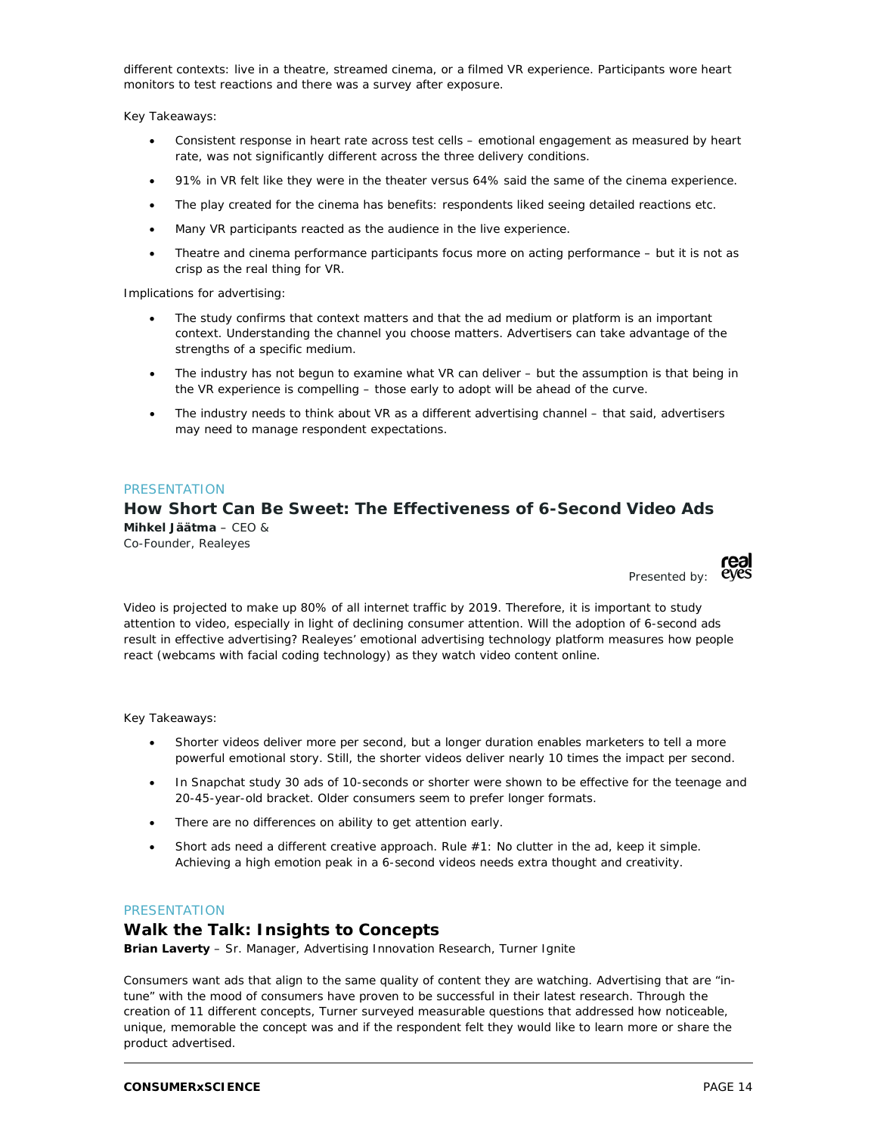different contexts: live in a theatre, streamed cinema, or a filmed VR experience. Participants wore heart monitors to test reactions and there was a survey after exposure.

Key Takeaways:

- Consistent response in heart rate across test cells emotional engagement as measured by heart rate, was not significantly different across the three delivery conditions.
- 91% in VR felt like they were in the theater versus 64% said the same of the cinema experience.
- The play created for the cinema has benefits: respondents liked seeing detailed reactions etc.
- Many VR participants reacted as the audience in the live experience.
- Theatre and cinema performance participants focus more on acting performance but it is not as crisp as the real thing for VR.

Implications for advertising:

- The study confirms that context matters and that the ad medium or platform is an important context. Understanding the channel you choose matters. Advertisers can take advantage of the strengths of a specific medium.
- The industry has not begun to examine what VR can deliver but the assumption is that being in the VR experience is compelling – those early to adopt will be ahead of the curve.
- The industry needs to think about VR as a different advertising channel that said, advertisers may need to manage respondent expectations.

#### **PRESENTATION**

# **How Short Can Be Sweet: The Effectiveness of 6-Second Video Ads Mihkel Jäätma** – CEO &

Co-Founder, Realeyes



Video is projected to make up 80% of all internet traffic by 2019. Therefore, it is important to study attention to video, especially in light of declining consumer attention. Will the adoption of 6-second ads result in effective advertising? Realeyes' emotional advertising technology platform measures how people react (webcams with facial coding technology) as they watch video content online.

Key Takeaways:

- Shorter videos deliver more per second, but a longer duration enables marketers to tell a more powerful emotional story. Still, the shorter videos deliver nearly 10 times the impact per second.
- In Snapchat study 30 ads of 10-seconds or shorter were shown to be effective for the teenage and 20-45-year-old bracket. Older consumers seem to prefer longer formats.
- There are no differences on ability to get attention early.
- Short ads need a different creative approach. Rule #1: No clutter in the ad, keep it simple. Achieving a high emotion peak in a 6-second videos needs extra thought and creativity.

#### PRESENTATION

#### **Walk the Talk: Insights to Concepts**

**Brian Laverty** – Sr. Manager, Advertising Innovation Research, Turner Ignite

Consumers want ads that align to the same quality of content they are watching. Advertising that are "intune" with the mood of consumers have proven to be successful in their latest research. Through the creation of 11 different concepts, Turner surveyed measurable questions that addressed how noticeable, unique, memorable the concept was and if the respondent felt they would like to learn more or share the product advertised.